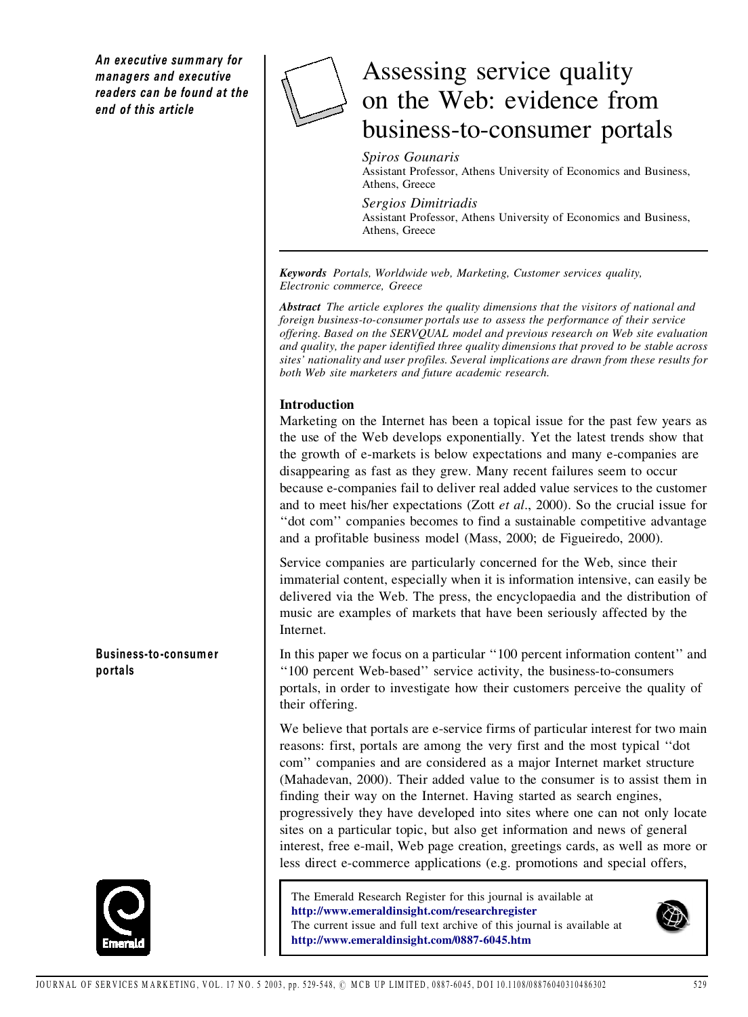*An executive summary for managers and executive readers can be found at the end of this article*



# Assessing service quality on the Web: evidence from business-to-consumer portals

*Spiros Gounaris* Assistant Professor, Athens University of Economics and Business, Athens, Greece

*Sergios Dimitriadis* Assistant Professor, Athens University of Economics and Business, Athens, Greece

*Keywords Portals, Worldwide web, Marketing, Customer services quality, Electronic commerce, Greece*

*Abstract The article explores the quality dimensions that the visitors of national and foreign business-to-consumer portals use to assess the performance of their service offering. Based on the SERVQUAL model and previous research on Web site evaluation and quality, the paper identified three quality dimensions that proved to be stable across sites' nationality and user profiles. Several implications are drawn from these results for both Web site marketers and future academic research.*

# **Introduction**

Marketing on the Internet has been a topical issue for the past few years as the use of the Web develops exponentially. Yet the latest trends show that the growth of e-markets is below expectations and many e-companies are disappearing as fast as they grew. Many recent failures seem to occur because e-companies fail to deliver real added value services to the customer and to meet his/her expectations (Zott *et al*., 2000). So the crucial issue for ``dot com'' companies becomes to find a sustainable competitive advantage and a profitable business model (Mass, 2000; de Figueiredo, 2000).

Service companies are particularly concerned for the Web, since their immaterial content, especially when it is information intensive, can easily be delivered via the Web. The press, the encyclopaedia and the distribution of music are examples of markets that have been seriously affected by the Internet.

In this paper we focus on a particular "100 percent information content" and ``100 percent Web-based'' service activity, the business-to-consumers portals, in order to investigate how their customers perceive the quality of their offering.

We believe that portals are e-service firms of particular interest for two main reasons: first, portals are among the very first and the most typical ``dot com'' companies and are considered as a major Internet market structure (Mahadevan, 2000). Their added value to the consumer is to assist them in finding their way on the Internet. Having started as search engines, progressively they have developed into sites where one can not only locate sites on a particular topic, but also get information and news of general interest, free e-mail, Web page creation, greetings cards, as well as more or less direct e-commerce applications (e.g. promotions and special offers,

The Emerald Research Register for this journal is available at **<http://www.emeraldinsight.com/researchregister>** The current issue and full text archive of this journal is available at **<http://www.emeraldinsight.com/0887-6045.htm>**



**Business-to-consum er portals**

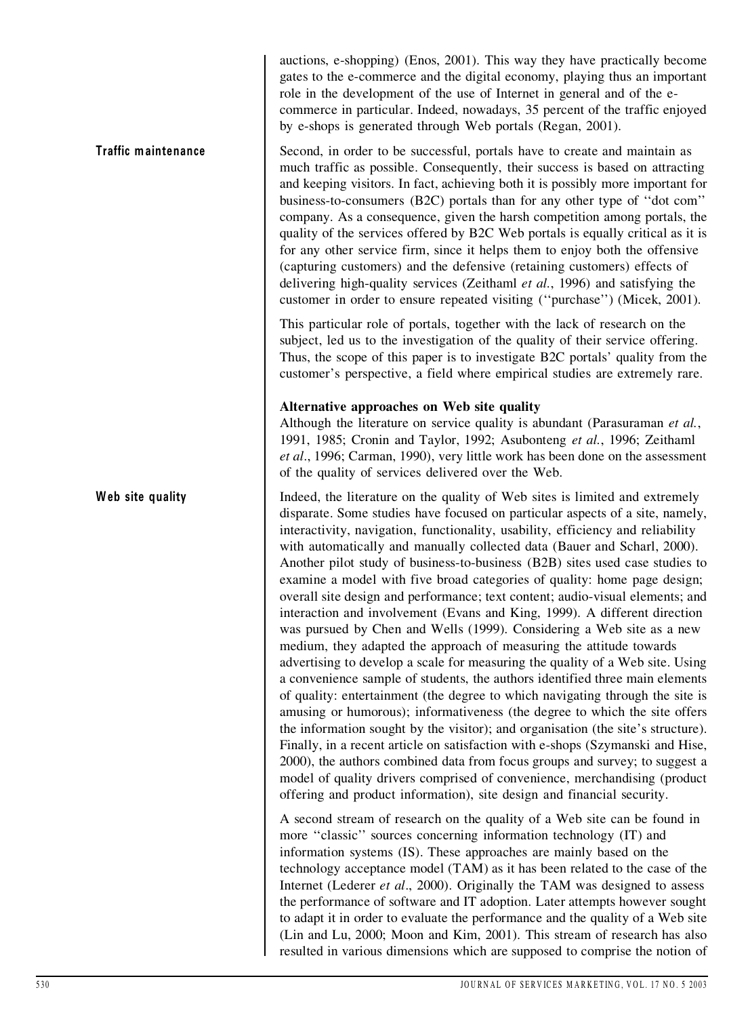auctions, e-shopping) (Enos, 2001). This way they have practically become gates to the e-commerce and the digital economy, playing thus an important role in the development of the use of Internet in general and of the ecommerce in particular. Indeed, nowadays, 35 percent of the traffic enjoyed by e-shops is generated through Web portals (Regan, 2001).

Second, in order to be successful, portals have to create and maintain as much traffic as possible. Consequently, their success is based on attracting and keeping visitors. In fact, achieving both it is possibly more important for business-to-consumers (B2C) portals than for any other type of "dot com" company. As a consequence, given the harsh competition among portals, the quality of the services offered by B2C Web portals is equally critical as it is for any other service firm, since it helps them to enjoy both the offensive (capturing customers) and the defensive (retaining customers) effects of delivering high-quality services (Zeithaml *et al.*, 1996) and satisfying the customer in order to ensure repeated visiting ("purchase") (Micek, 2001).

This particular role of portals, together with the lack of research on the subject, led us to the investigation of the quality of their service offering. Thus, the scope of this paper is to investigate B2C portals' quality from the customer's perspective, a field where empirical studies are extremely rare.

## **Alternative approaches on Web site quality**

Although the literature on service quality is abundant (Parasuraman *et al.*, 1991, 1985; Cronin and Taylor, 1992; Asubonteng *et al.*, 1996; Zeithaml *et al*., 1996; Carman, 1990), very little work has been done on the assessment of the quality of services delivered over the Web.

Indeed, the literature on the quality of Web sites is limited and extremely disparate. Some studies have focused on particular aspects of a site, namely, interactivity, navigation, functionality, usability, efficiency and reliability with automatically and manually collected data (Bauer and Scharl, 2000). Another pilot study of business-to-business (B2B) sites used case studies to examine a model with five broad categories of quality: home page design; overall site design and performance; text content; audio-visual elements; and interaction and involvement (Evans and King, 1999). A different direction was pursued by Chen and Wells (1999). Considering a Web site as a new medium, they adapted the approach of measuring the attitude towards advertising to develop a scale for measuring the quality of a Web site. Using a convenience sample of students, the authors identified three main elements of quality: entertainment (the degree to which navigating through the site is amusing or humorous); informativeness (the degree to which the site offers the information sought by the visitor); and organisation (the site's structure). Finally, in a recent article on satisfaction with e-shops (Szymanski and Hise, 2000), the authors combined data from focus groups and survey; to suggest a model of quality drivers comprised of convenience, merchandising (product offering and product information), site design and financial security.

A second stream of research on the quality of a Web site can be found in more "classic" sources concerning information technology (IT) and information systems (IS). These approaches are mainly based on the technology acceptance model (TAM) as it has been related to the case of the Internet (Lederer *et al*., 2000). Originally the TAM was designed to assess the performance of software and IT adoption. Later attempts however sought to adapt it in order to evaluate the performance and the quality of a Web site (Lin and Lu, 2000; Moon and Kim, 2001). This stream of research has also resulted in various dimensions which are supposed to comprise the notion of

# **Traffic m aintenance**

**W eb site quality**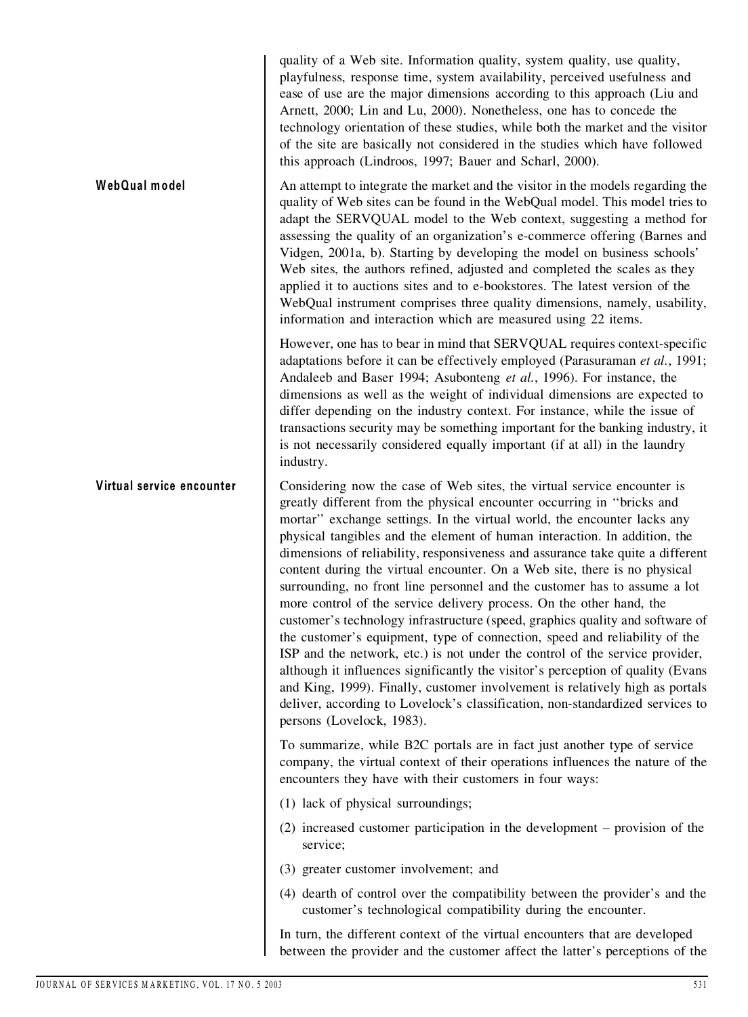quality of a Web site. Information quality, system quality, use quality, playfulness, response time, system availability, perceived usefulness and ease of use are the major dimensions according to this approach (Liu and Arnett, 2000; Lin and Lu, 2000). Nonetheless, one has to concede the technology orientation of these studies, while both the market and the visitor of the site are basically not considered in the studies which have followed this approach (Lindroos, 1997; Bauer and Scharl, 2000). An attempt to integrate the market and the visitor in the models regarding the quality of Web sites can be found in the WebQual model. This model tries to adapt the SERVQUAL model to the Web context, suggesting a method for assessing the quality of an organization's e-commerce offering (Barnes and Vidgen, 2001a, b). Starting by developing the model on business schools' Web sites, the authors refined, adjusted and completed the scales as they applied it to auctions sites and to e-bookstores. The latest version of the WebQual instrument comprises three quality dimensions, namely, usability, information and interaction which are measured using 22 items. However, one has to bear in mind that SERVQUAL requires context-specific adaptations before it can be effectively employed (Parasuraman *et al.*, 1991; Andaleeb and Baser 1994; Asubonteng *et al.*, 1996). For instance, the dimensions as well as the weight of individual dimensions are expected to differ depending on the industry context. For instance, while the issue of transactions security may be something important for the banking industry, it is not necessarily considered equally important (if at all) in the laundry industry. Considering now the case of Web sites, the virtual service encounter is greatly different from the physical encounter occurring in "bricks and mortar'' exchange settings. In the virtual world, the encounter lacks any physical tangibles and the element of human interaction. In addition, the dimensions of reliability, responsiveness and assurance take quite a different content during the virtual encounter. On a Web site, there is no physical surrounding, no front line personnel and the customer has to assume a lot more control of the service delivery process. On the other hand, the customer's technology infrastructure (speed, graphics quality and software of the customer's equipment, type of connection, speed and reliability of the ISP and the network, etc.) is not under the control of the service provider, although it influences significantly the visitor's perception of quality (Evans and King, 1999). Finally, customer involvement is relatively high as portals deliver, according to Lovelock's classification, non-standardized services to persons (Lovelock, 1983). To summarize, while B2C portals are in fact just another type of service company, the virtual context of their operations influences the nature of the encounters they have with their customers in four ways: (1) lack of physical surroundings; (2) increased customer participation in the development  $-$  provision of the service; (3) greater customer involvement; and (4) dearth of control over the compatibility between the provider's and the customer's technological compatibility during the encounter. In turn, the different context of the virtual encounters that are developed **W ebQual m odel Virtual service encounter**

between the provider and the customer affect the latter's perceptions of the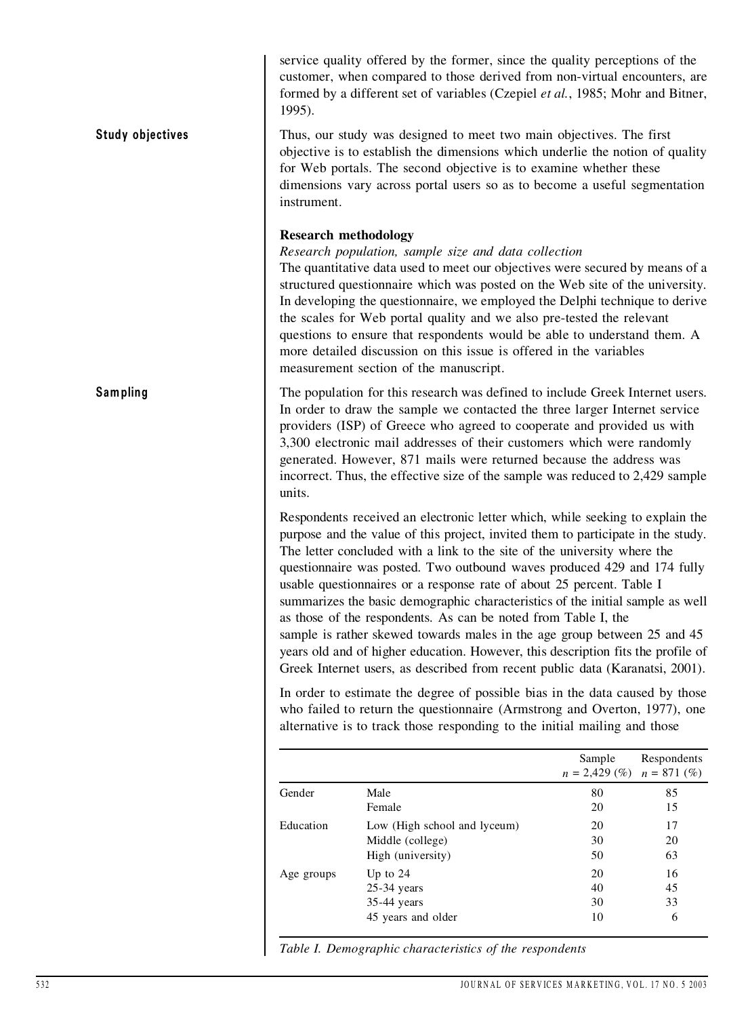service quality offered by the former, since the quality perceptions of the customer, when compared to those derived from non-virtual encounters, are formed by a different set of variables (Czepiel *et al.*, 1985; Mohr and Bitner, 1995).

Thus, our study was designed to meet two main objectives. The first objective is to establish the dimensions which underlie the notion of quality for Web portals. The second objective is to examine whether these dimensions vary across portal users so as to become a useful segmentation instrument. **Study objectives**

### **Research methodology**

*Research population, sample size and data collection*

The quantitative data used to meet our objectives were secured by means of a structured questionnaire which was posted on the Web site of the university. In developing the questionnaire, we employed the Delphi technique to derive the scales for Web portal quality and we also pre-tested the relevant questions to ensure that respondents would be able to understand them. A more detailed discussion on this issue is offered in the variables measurement section of the manuscript.

The population for this research was defined to include Greek Internet users. In order to draw the sample we contacted the three larger Internet service providers (ISP) of Greece who agreed to cooperate and provided us with 3,300 electronic mail addresses of their customers which were randomly generated. However, 871 mails were returned because the address was incorrect. Thus, the effective size of the sample was reduced to 2,429 sample units.

Respondents received an electronic letter which, while seeking to explain the purpose and the value of this project, invited them to participate in the study. The letter concluded with a link to the site of the university where the questionnaire was posted. Two outbound waves produced 429 and 174 fully usable questionnaires or a response rate of about 25 percent. Table I summarizes the basic demographic characteristics of the initial sample as well as those of the respondents. As can be noted from Table I, the sample is rather skewed towards males in the age group between 25 and 45 years old and of higher education. However, this description fits the profile of Greek Internet users, as described from recent public data (Karanatsi, 2001).

In order to estimate the degree of possible bias in the data caused by those who failed to return the questionnaire (Armstrong and Overton, 1977), one alternative is to track those responding to the initial mailing and those

|            |                              | Sample<br>$n = 2,429$ (%) $n = 871$ (%) | Respondents |
|------------|------------------------------|-----------------------------------------|-------------|
| Gender     | Male                         | 80                                      | 85          |
|            | Female                       | 20                                      | 15          |
| Education  | Low (High school and lyceum) | 20                                      | 17          |
|            | Middle (college)             | 30                                      | 20          |
|            | High (university)            | 50                                      | 63          |
| Age groups | Up to $24$                   | 20                                      | 16          |
|            | $25-34$ years                | 40                                      | 45          |
|            | 35-44 years                  | 30                                      | 33          |
|            | 45 years and older           | 10                                      | 6           |

*Table I. Demographic characteristics of the respondents*

**Sam pling**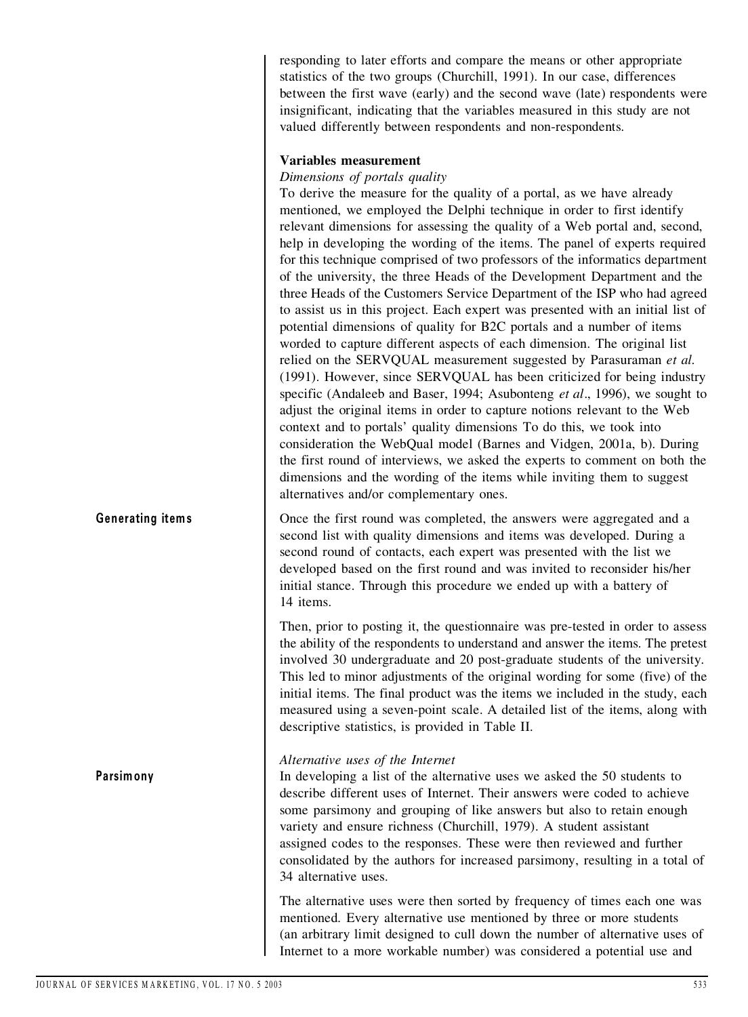responding to later efforts and compare the means or other appropriate statistics of the two groups (Churchill, 1991). In our case, differences between the first wave (early) and the second wave (late) respondents were insignificant, indicating that the variables measured in this study are not valued differently between respondents and non-respondents.

#### **Variables measurement**

*Dimensions of portals quality*

To derive the measure for the quality of a portal, as we have already mentioned, we employed the Delphi technique in order to first identify relevant dimensions for assessing the quality of a Web portal and, second, help in developing the wording of the items. The panel of experts required for this technique comprised of two professors of the informatics department of the university, the three Heads of the Development Department and the three Heads of the Customers Service Department of the ISP who had agreed to assist us in this project. Each expert was presented with an initial list of potential dimensions of quality for B2C portals and a number of items worded to capture different aspects of each dimension. The original list relied on the SERVQUAL measurement suggested by Parasuraman *et al.* (1991). However, since SERVQUAL has been criticized for being industry specific (Andaleeb and Baser, 1994; Asubonteng *et al*., 1996), we sought to adjust the original items in order to capture notions relevant to the Web context and to portals' quality dimensions To do this, we took into consideration the WebQual model (Barnes and Vidgen, 2001a, b). During the first round of interviews, we asked the experts to comment on both the dimensions and the wording of the items while inviting them to suggest alternatives and/or complementary ones.

Once the first round was completed, the answers were aggregated and a second list with quality dimensions and items was developed. During a second round of contacts, each expert was presented with the list we developed based on the first round and was invited to reconsider his/her initial stance. Through this procedure we ended up with a battery of 14 items.

Then, prior to posting it, the questionnaire was pre-tested in order to assess the ability of the respondents to understand and answer the items. The pretest involved 30 undergraduate and 20 post-graduate students of the university. This led to minor adjustments of the original wording for some (five) of the initial items. The final product was the items we included in the study, each measured using a seven-point scale. A detailed list of the items, along with descriptive statistics, is provided in Table II.

## *Alternative uses of the Internet*

In developing a list of the alternative uses we asked the 50 students to describe different uses of Internet. Their answers were coded to achieve some parsimony and grouping of like answers but also to retain enough variety and ensure richness (Churchill, 1979). A student assistant assigned codes to the responses. These were then reviewed and further consolidated by the authors for increased parsimony, resulting in a total of 34 alternative uses.

The alternative uses were then sorted by frequency of times each one was mentioned. Every alternative use mentioned by three or more students (an arbitrary limit designed to cull down the number of alternative uses of Internet to a more workable number) was considered a potential use and

**Generating item s**

**Parsim ony**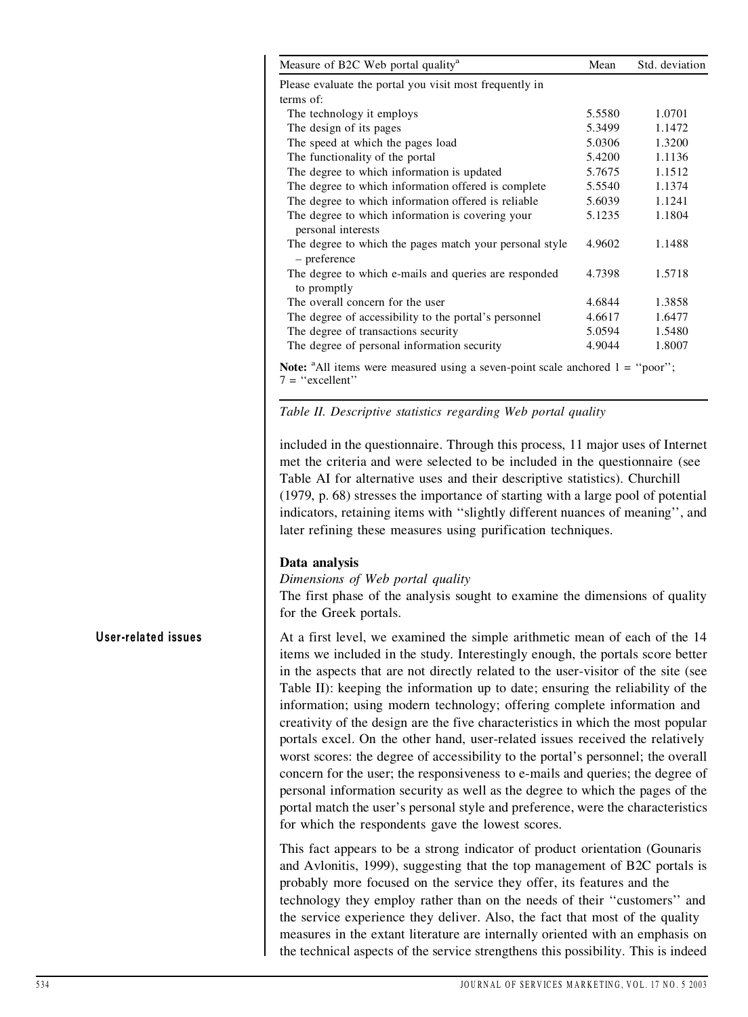| Measure of B2C Web portal quality <sup>a</sup>                          | Mean   | Std. deviation |
|-------------------------------------------------------------------------|--------|----------------|
| Please evaluate the portal you visit most frequently in                 |        |                |
| terms of:                                                               |        |                |
| The technology it employs                                               | 5.5580 | 1.0701         |
| The design of its pages                                                 | 5.3499 | 1.1472         |
| The speed at which the pages load                                       | 5.0306 | 1.3200         |
| The functionality of the portal                                         | 5.4200 | 1.1136         |
| The degree to which information is updated                              | 5.7675 | 1.1512         |
| The degree to which information offered is complete                     | 5.5540 | 1.1374         |
| The degree to which information offered is reliable                     | 5.6039 | 1.1241         |
| The degree to which information is covering your<br>personal interests  | 5.1235 | 1.1804         |
| The degree to which the pages match your personal style<br>- preference | 4.9602 | 1.1488         |
| The degree to which e-mails and queries are responded<br>to promptly    | 4.7398 | 1.5718         |
| The overall concern for the user                                        | 4.6844 | 1.3858         |
| The degree of accessibility to the portal's personnel                   | 4.6617 | 1.6477         |
| The degree of transactions security                                     | 5.0594 | 1.5480         |
| The degree of personal information security                             | 4.9044 | 1.8007         |

 $7 = "excellent"$ 

*Table II. Descriptive statistics regarding Web portal quality*

included in the questionnaire. Through this process, 11 major uses of Internet met the criteria and were selected to be included in the questionnaire (see Table AI for alternative uses and their descriptive statistics). Churchill (1979, p. 68) stresses the importance of starting with a large pool of potential indicators, retaining items with "slightly different nuances of meaning", and later refining these measures using purification techniques.

## **Data analysis**

#### *Dimensions of Web portal quality*

The first phase of the analysis sought to examine the dimensions of quality for the Greek portals.

At a first level, we examined the simple arithmetic mean of each of the 14 items we included in the study. Interestingly enough, the portals score better in the aspects that are not directly related to the user-visitor of the site (see Table II): keeping the information up to date; ensuring the reliability of the information; using modern technology; offering complete information and creativity of the design are the five characteristics in which the most popular portals excel. On the other hand, user-related issues received the relatively worst scores: the degree of accessibility to the portal's personnel; the overall concern for the user; the responsiveness to e-mails and queries; the degree of personal information security as well as the degree to which the pages of the portal match the user's personal style and preference, were the characteristics for which the respondents gave the lowest scores.

This fact appears to be a strong indicator of product orientation (Gounaris and Avlonitis, 1999), suggesting that the top management of B2C portals is probably more focused on the service they offer, its features and the technology they employ rather than on the needs of their "customers" and the service experience they deliver. Also, the fact that most of the quality measures in the extant literature are internally oriented with an emphasis on the technical aspects of the service strengthens this possibility. This is indeed

**User-related issues**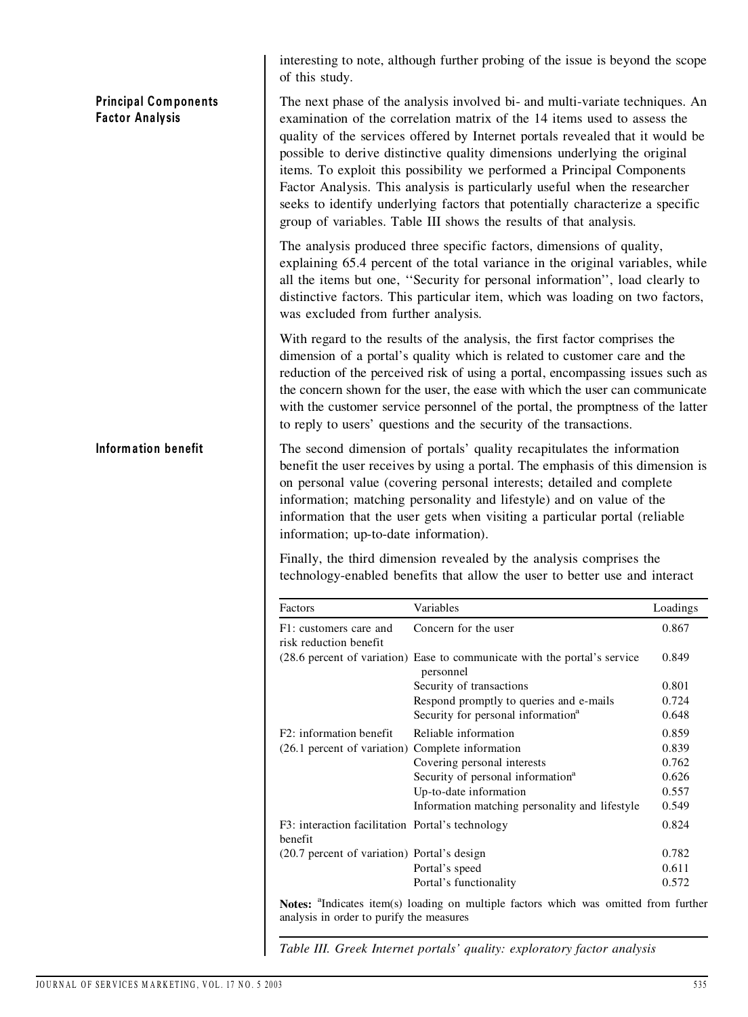# **Principal Com ponents Factor Analysis**

**Inform ation benefit**

interesting to note, although further probing of the issue is beyond the scope of this study.

The next phase of the analysis involved bi- and multi-variate techniques. An examination of the correlation matrix of the 14 items used to assess the quality of the services offered by Internet portals revealed that it would be possible to derive distinctive quality dimensions underlying the original items. To exploit this possibility we performed a Principal Components Factor Analysis. This analysis is particularly useful when the researcher seeks to identify underlying factors that potentially characterize a specific group of variables. Table III shows the results of that analysis.

The analysis produced three specific factors, dimensions of quality, explaining 65.4 percent of the total variance in the original variables, while all the items but one, "Security for personal information", load clearly to distinctive factors. This particular item, which was loading on two factors, was excluded from further analysis.

With regard to the results of the analysis, the first factor comprises the dimension of a portal's quality which is related to customer care and the reduction of the perceived risk of using a portal, encompassing issues such as the concern shown for the user, the ease with which the user can communicate with the customer service personnel of the portal, the promptness of the latter to reply to users' questions and the security of the transactions.

The second dimension of portals' quality recapitulates the information benefit the user receives by using a portal. The emphasis of this dimension is on personal value (covering personal interests; detailed and complete information; matching personality and lifestyle) and on value of the information that the user gets when visiting a particular portal (reliable information; up-to-date information).

Finally, the third dimension revealed by the analysis comprises the technology-enabled benefits that allow the user to better use and interact

| Factors                                                     | Variables                                                                              | Loadings |
|-------------------------------------------------------------|----------------------------------------------------------------------------------------|----------|
| F1: customers care and<br>risk reduction benefit            | Concern for the user                                                                   | 0.867    |
|                                                             | (28.6 percent of variation) Ease to communicate with the portal's service<br>personnel | 0.849    |
|                                                             | Security of transactions                                                               | 0.801    |
|                                                             | Respond promptly to queries and e-mails                                                | 0.724    |
|                                                             | Security for personal information <sup>a</sup>                                         | 0.648    |
| F <sub>2</sub> : information benefit                        | Reliable information                                                                   | 0.859    |
| (26.1 percent of variation) Complete information            |                                                                                        | 0.839    |
|                                                             | Covering personal interests                                                            | 0.762    |
|                                                             | Security of personal information <sup>a</sup>                                          | 0.626    |
|                                                             | Up-to-date information                                                                 | 0.557    |
|                                                             | Information matching personality and lifestyle                                         | 0.549    |
| F3: interaction facilitation Portal's technology<br>benefit |                                                                                        | 0.824    |
| (20.7 percent of variation) Portal's design                 |                                                                                        | 0.782    |
|                                                             | Portal's speed                                                                         | 0.611    |
|                                                             | Portal's functionality                                                                 | 0.572    |

**Notes:** <sup>a</sup>Indicates item(s) loading on multiple factors which was omitted from further analysis in order to purify the measures

*Table III. Greek Internet portals' quality: exploratory factor analysis*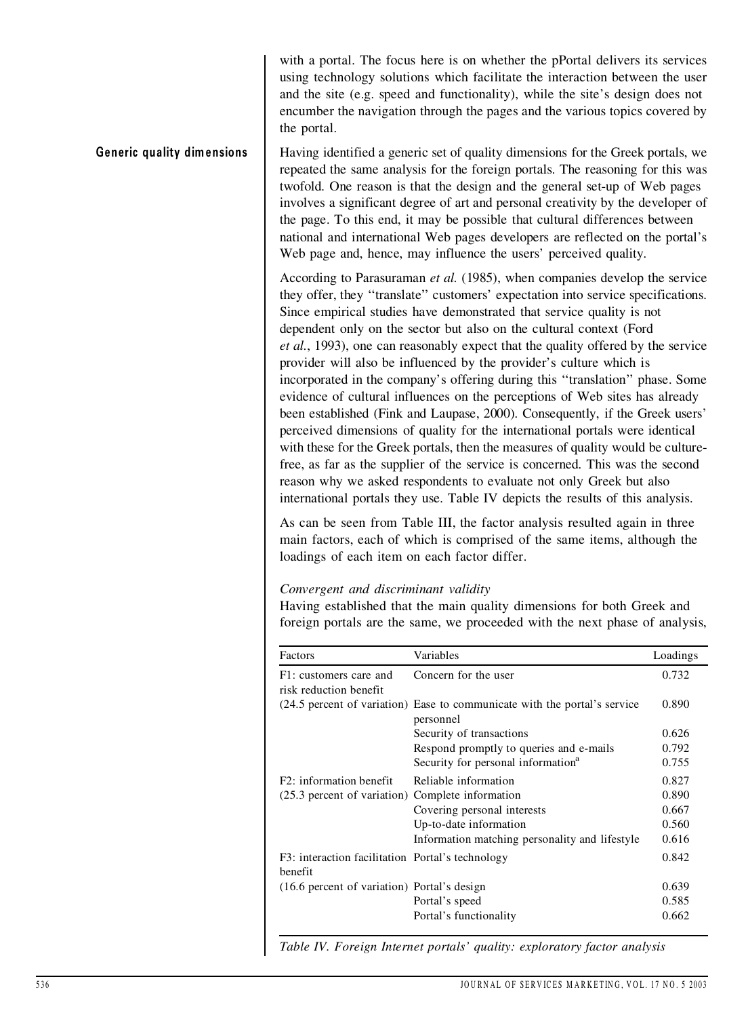with a portal. The focus here is on whether the pPortal delivers its services using technology solutions which facilitate the interaction between the user and the site (e.g. speed and functionality), while the site's design does not encumber the navigation through the pages and the various topics covered by the portal.

#### **Generic quality dim ensions**

Having identified a generic set of quality dimensions for the Greek portals, we repeated the same analysis for the foreign portals. The reasoning for this was twofold. One reason is that the design and the general set-up of Web pages involves a significant degree of art and personal creativity by the developer of the page. To this end, it may be possible that cultural differences between national and international Web pages developers are reflected on the portal's Web page and, hence, may influence the users' perceived quality.

According to Parasuraman *et al.* (1985), when companies develop the service they offer, they "translate" customers' expectation into service specifications. Since empirical studies have demonstrated that service quality is not dependent only on the sector but also on the cultural context (Ford *et al.*, 1993), one can reasonably expect that the quality offered by the service provider will also be influenced by the provider's culture which is incorporated in the company's offering during this "translation" phase. Some evidence of cultural influences on the perceptions of Web sites has already been established (Fink and Laupase, 2000). Consequently, if the Greek users' perceived dimensions of quality for the international portals were identical with these for the Greek portals, then the measures of quality would be culturefree, as far as the supplier of the service is concerned. This was the second reason why we asked respondents to evaluate not only Greek but also international portals they use. Table IV depicts the results of this analysis.

As can be seen from Table III, the factor analysis resulted again in three main factors, each of which is comprised of the same items, although the loadings of each item on each factor differ.

## *Convergent and discriminant validity*

Having established that the main quality dimensions for both Greek and foreign portals are the same, we proceeded with the next phase of analysis,

| Factors                                                     | Variables                                                                              | Loadings |
|-------------------------------------------------------------|----------------------------------------------------------------------------------------|----------|
| F1: customers care and<br>risk reduction benefit            | Concern for the user                                                                   | 0.732    |
|                                                             | (24.5 percent of variation) Ease to communicate with the portal's service<br>personnel | 0.890    |
|                                                             | Security of transactions                                                               | 0.626    |
|                                                             | Respond promptly to queries and e-mails                                                | 0.792    |
|                                                             | Security for personal information <sup>a</sup>                                         | 0.755    |
| F <sub>2</sub> : information benefit                        | Reliable information                                                                   | 0.827    |
| (25.3 percent of variation) Complete information            |                                                                                        | 0.890    |
|                                                             | Covering personal interests                                                            | 0.667    |
|                                                             | Up-to-date information                                                                 | 0.560    |
|                                                             | Information matching personality and lifestyle                                         | 0.616    |
| F3: interaction facilitation Portal's technology<br>benefit |                                                                                        | 0.842    |
| (16.6 percent of variation) Portal's design                 |                                                                                        | 0.639    |
|                                                             | Portal's speed                                                                         | 0.585    |
|                                                             | Portal's functionality                                                                 | 0.662    |

*Table IV. Foreign Internet portals' quality: exploratory factor analysis*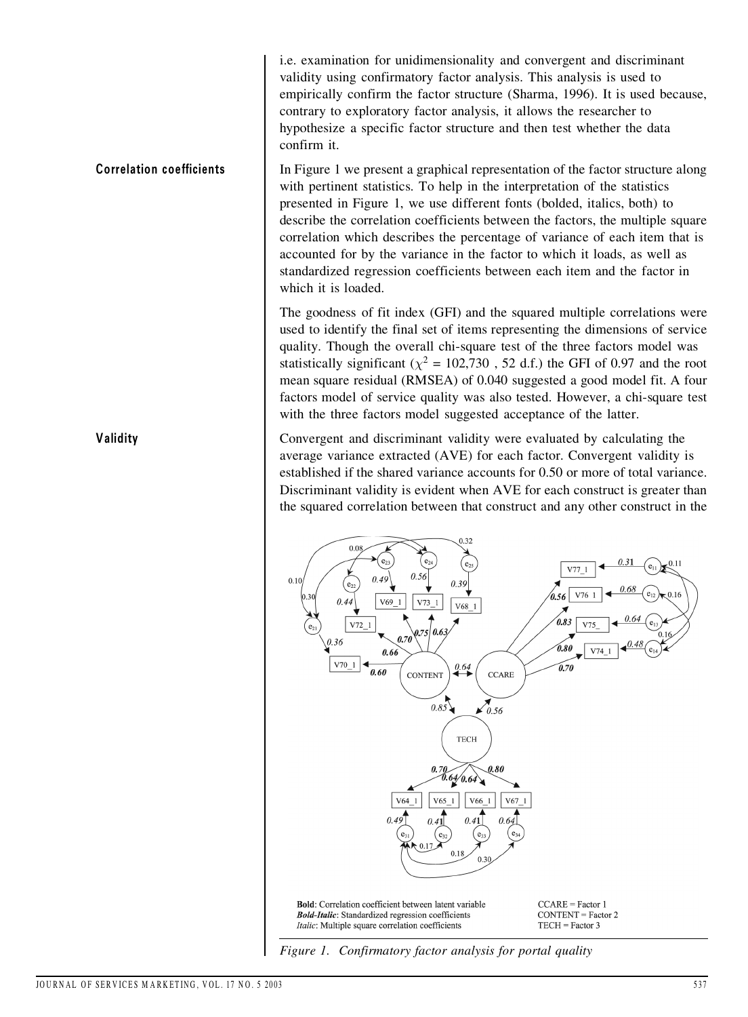i.e. examination for unidimensionality and convergent and discriminant validity using confirmatory factor analysis. This analysis is used to empirically confirm the factor structure (Sharma, 1996). It is used because, contrary to exploratory factor analysis, it allows the researcher to hypothesize a specific factor structure and then test whether the data confirm it.

In Figure 1 we present a graphical representation of the factor structure along with pertinent statistics. To help in the interpretation of the statistics presented in Figure 1, we use different fonts (bolded, italics, both) to describe the correlation coefficients between the factors, the multiple square correlation which describes the percentage of variance of each item that is accounted for by the variance in the factor to which it loads, as well as standardized regression coefficients between each item and the factor in which it is loaded.

The goodness of fit index (GFI) and the squared multiple correlations were used to identify the final set of items representing the dimensions of service quality. Though the overall chi-square test of the three factors model was statistically significant ( $\chi^2$  = 102,730, 52 d.f.) the GFI of 0.97 and the root mean square residual (RMSEA) of 0.040 suggested a good model fit. A four factors model of service quality was also tested. However, a chi-square test with the three factors model suggested acceptance of the latter.

Convergent and discriminant validity were evaluated by calculating the average variance extracted (AVE) for each factor. Convergent validity is established if the shared variance accounts for 0.50 or more of total variance. Discriminant validity is evident when AVE for each construct is greater than the squared correlation between that construct and any other construct in the



*Figure 1. Confirmatory factor analysis for portal quality*

## **Correlation coefficients**

**Validity**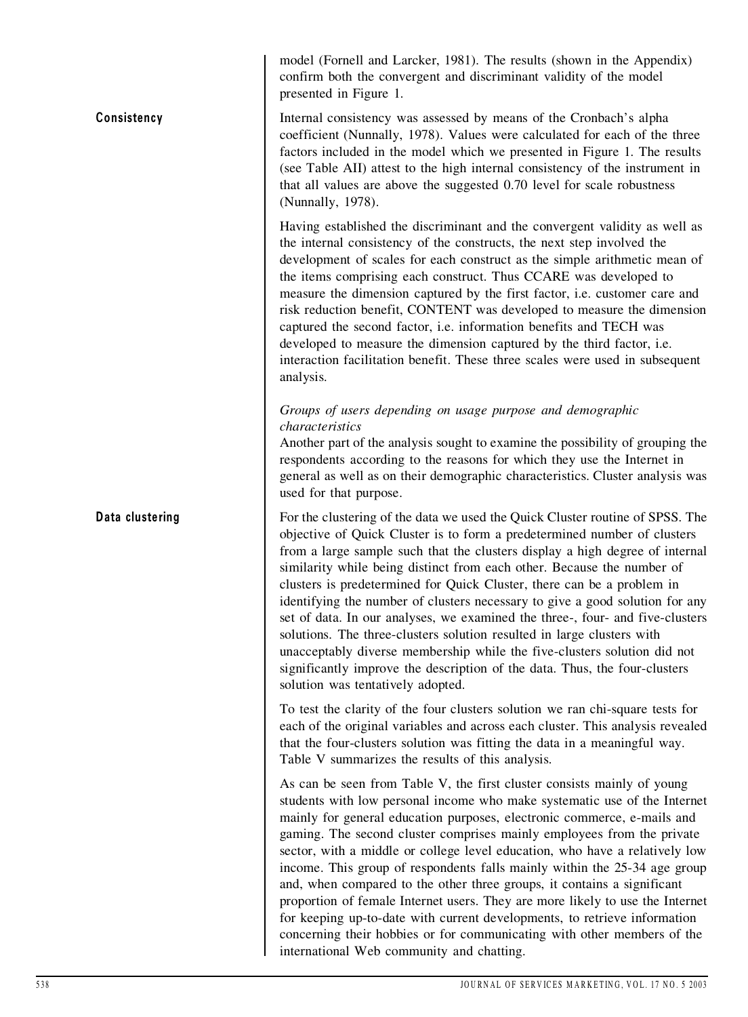|                 | model (Fornell and Larcker, 1981). The results (shown in the Appendix)<br>confirm both the convergent and discriminant validity of the model<br>presented in Figure 1.                                                                                                                                                                                                                                                                                                                                                                                                                                                                                                                                                                                                                                                                  |
|-----------------|-----------------------------------------------------------------------------------------------------------------------------------------------------------------------------------------------------------------------------------------------------------------------------------------------------------------------------------------------------------------------------------------------------------------------------------------------------------------------------------------------------------------------------------------------------------------------------------------------------------------------------------------------------------------------------------------------------------------------------------------------------------------------------------------------------------------------------------------|
| Consistency     | Internal consistency was assessed by means of the Cronbach's alpha<br>coefficient (Nunnally, 1978). Values were calculated for each of the three<br>factors included in the model which we presented in Figure 1. The results<br>(see Table AII) attest to the high internal consistency of the instrument in<br>that all values are above the suggested 0.70 level for scale robustness<br>(Nunnally, 1978).                                                                                                                                                                                                                                                                                                                                                                                                                           |
|                 | Having established the discriminant and the convergent validity as well as<br>the internal consistency of the constructs, the next step involved the<br>development of scales for each construct as the simple arithmetic mean of<br>the items comprising each construct. Thus CCARE was developed to<br>measure the dimension captured by the first factor, i.e. customer care and<br>risk reduction benefit, CONTENT was developed to measure the dimension<br>captured the second factor, i.e. information benefits and TECH was<br>developed to measure the dimension captured by the third factor, i.e.<br>interaction facilitation benefit. These three scales were used in subsequent<br>analysis.                                                                                                                               |
|                 | Groups of users depending on usage purpose and demographic<br>characteristics<br>Another part of the analysis sought to examine the possibility of grouping the<br>respondents according to the reasons for which they use the Internet in<br>general as well as on their demographic characteristics. Cluster analysis was<br>used for that purpose.                                                                                                                                                                                                                                                                                                                                                                                                                                                                                   |
| Data clustering | For the clustering of the data we used the Quick Cluster routine of SPSS. The<br>objective of Quick Cluster is to form a predetermined number of clusters<br>from a large sample such that the clusters display a high degree of internal<br>similarity while being distinct from each other. Because the number of<br>clusters is predetermined for Quick Cluster, there can be a problem in<br>identifying the number of clusters necessary to give a good solution for any<br>set of data. In our analyses, we examined the three-, four- and five-clusters<br>solutions. The three-clusters solution resulted in large clusters with<br>unacceptably diverse membership while the five-clusters solution did not<br>significantly improve the description of the data. Thus, the four-clusters<br>solution was tentatively adopted. |
|                 | To test the clarity of the four clusters solution we ran chi-square tests for<br>each of the original variables and across each cluster. This analysis revealed<br>that the four-clusters solution was fitting the data in a meaningful way.<br>Table V summarizes the results of this analysis.                                                                                                                                                                                                                                                                                                                                                                                                                                                                                                                                        |
|                 | As can be seen from Table V, the first cluster consists mainly of young<br>students with low personal income who make systematic use of the Internet<br>mainly for general education purposes, electronic commerce, e-mails and<br>gaming. The second cluster comprises mainly employees from the private<br>sector, with a middle or college level education, who have a relatively low<br>income. This group of respondents falls mainly within the 25-34 age group<br>and, when compared to the other three groups, it contains a significant<br>proportion of female Internet users. They are more likely to use the Internet<br>for keeping up-to-date with current developments, to retrieve information<br>concerning their hobbies or for communicating with other members of the<br>international Web community and chatting.  |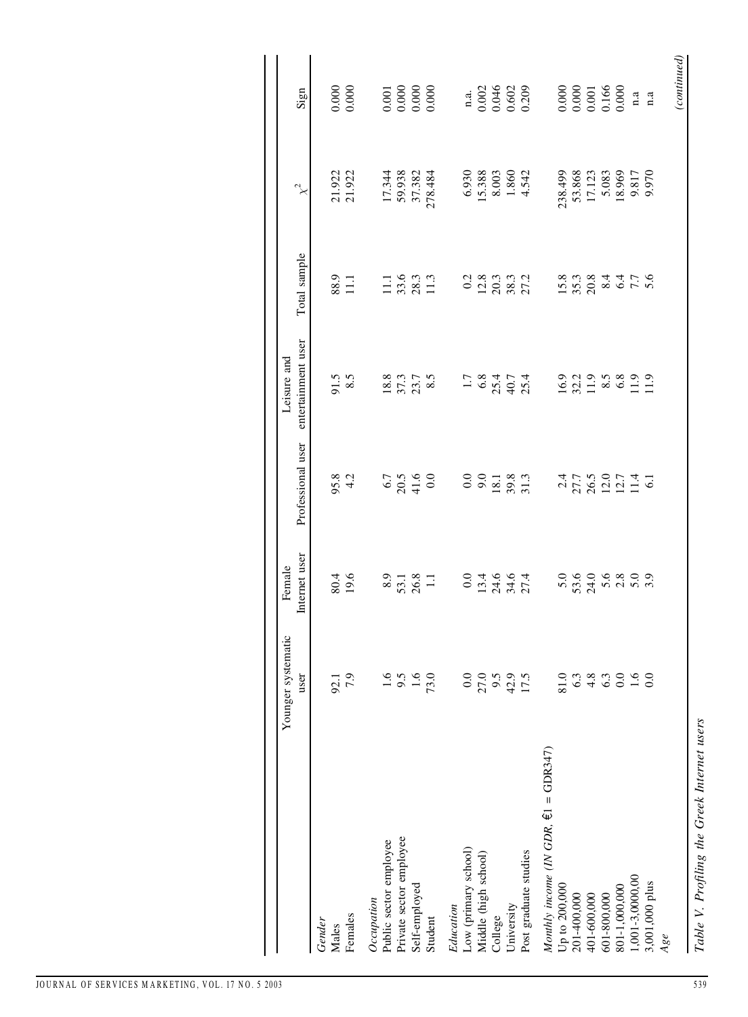|                                                | Younger systematic<br>user | Internet user<br>Female              | Professional user                                                                                                                                                                                                                                                                                             | entertainment user<br>Leisure and                                                      | Total sample                                                | $\chi^2$                                                                   | Sign                                                                                           |
|------------------------------------------------|----------------------------|--------------------------------------|---------------------------------------------------------------------------------------------------------------------------------------------------------------------------------------------------------------------------------------------------------------------------------------------------------------|----------------------------------------------------------------------------------------|-------------------------------------------------------------|----------------------------------------------------------------------------|------------------------------------------------------------------------------------------------|
| Gender                                         |                            |                                      |                                                                                                                                                                                                                                                                                                               |                                                                                        |                                                             |                                                                            |                                                                                                |
| Males                                          | 92.1                       |                                      |                                                                                                                                                                                                                                                                                                               |                                                                                        |                                                             |                                                                            |                                                                                                |
| Females                                        | 7.9                        | 80.4<br>19.6                         | $95.8$<br>4.2                                                                                                                                                                                                                                                                                                 | 91.5<br>8.5                                                                            | 88.9<br>11.1                                                | 21.922<br>21.922                                                           | 0.000                                                                                          |
| Occupation                                     |                            |                                      |                                                                                                                                                                                                                                                                                                               |                                                                                        |                                                             |                                                                            |                                                                                                |
| Public sector employee                         | $\frac{9}{1}$              |                                      |                                                                                                                                                                                                                                                                                                               |                                                                                        |                                                             |                                                                            |                                                                                                |
| Private sector employee                        | 9.5                        |                                      |                                                                                                                                                                                                                                                                                                               |                                                                                        |                                                             |                                                                            |                                                                                                |
| Self-employed                                  | 1.6                        | $\frac{83}{53.3}$ $\frac{8}{11}$     | $6.7$<br>20.5<br>41.6<br>41.6                                                                                                                                                                                                                                                                                 | $\frac{18.8}{37.3}$<br>37.3<br>8.5                                                     | $\begin{array}{c} 11.1 \\ 33.6 \\ 28.3 \\ 11.3 \end{array}$ | 17.344<br>59.938<br>37.382                                                 |                                                                                                |
| Student                                        | 73.0                       |                                      |                                                                                                                                                                                                                                                                                                               |                                                                                        |                                                             | 278.484                                                                    |                                                                                                |
| Education                                      |                            |                                      |                                                                                                                                                                                                                                                                                                               |                                                                                        |                                                             |                                                                            |                                                                                                |
| Low (primary school)                           | 0.0                        | 0.0                                  |                                                                                                                                                                                                                                                                                                               |                                                                                        |                                                             |                                                                            |                                                                                                |
| Middle (high school)                           | 27.0                       |                                      | 0.0<br>0.0<br>12,3<br>3,1<br>3,1<br>3                                                                                                                                                                                                                                                                         | $1.7$<br>$6.8$<br>$25.4$<br>$40.7$<br>$25.4$                                           | $0.\overline{2}$<br>$0.\overline{3}$<br>$20.\overline{3}$   | $\begin{array}{c} 6.930 \\ 15.388 \\ 8.003 \\ 1.860 \\ 1.4542 \end{array}$ | $\begin{array}{c} \n 0.002 \\  0.0046 \\  0.602 \\  0.602\n \end{array}$                       |
| College                                        | 9.5                        |                                      |                                                                                                                                                                                                                                                                                                               |                                                                                        |                                                             |                                                                            |                                                                                                |
| University                                     | 42.9                       | 1<br>1<br>1<br>2<br>2<br>2<br>2<br>2 |                                                                                                                                                                                                                                                                                                               |                                                                                        | 38.3<br>27.2                                                |                                                                            |                                                                                                |
| Post graduate studies                          | 17.5                       |                                      |                                                                                                                                                                                                                                                                                                               |                                                                                        |                                                             |                                                                            |                                                                                                |
| Monthly income (IN GDR, $\epsilon$ 1 = GDR347) |                            |                                      |                                                                                                                                                                                                                                                                                                               |                                                                                        |                                                             |                                                                            |                                                                                                |
| Up to 200,000                                  | $\frac{81.0}{5}$           |                                      |                                                                                                                                                                                                                                                                                                               |                                                                                        |                                                             | 238.499<br>53.868                                                          | $\begin{array}{c} 0.000 \\ 0.000 \\ 0.166 \\ 0.166 \\ \textbf{n} \cdot \mathbf{a} \end{array}$ |
| 201-400,000                                    | 6.3                        |                                      |                                                                                                                                                                                                                                                                                                               |                                                                                        |                                                             |                                                                            |                                                                                                |
| 401-600,000                                    | 4.8                        | 5.0<br>5.3 3.6<br>5.2 5.0            |                                                                                                                                                                                                                                                                                                               |                                                                                        | $15.8$<br>$35.3$<br>$20.8$                                  |                                                                            |                                                                                                |
| 601-800,000                                    | 6.3                        |                                      |                                                                                                                                                                                                                                                                                                               |                                                                                        |                                                             |                                                                            |                                                                                                |
| 801-1,000,000                                  | 0.0                        | $2.8$<br>$0.9$<br>$3.9$              | $\begin{array}{c} 21.7 \\ 21.7 \\ 21.7 \\ 21.7 \\ 22.7 \\ 23.7 \\ 24.7 \\ 25.7 \\ 26.1 \\ 27.7 \\ 28.7 \\ 29.7 \\ 21.7 \\ 23.7 \\ 24.7 \\ 25.7 \\ 26.7 \\ 27.7 \\ 28.7 \\ 29.7 \\ 29.7 \\ 20.7 \\ 21.7 \\ 23.7 \\ 24.7 \\ 25.7 \\ 26.7 \\ 27.7 \\ 28.7 \\ 29.7 \\ 29.7 \\ 29.7 \\ 29.7 \\ 29.7 \\ 29.7 \\ 29$ | $\begin{array}{c} 16.9 \\ 23.1 \\ 25.5 \\ 36.5 \\ 68.9 \\ 11.9 \\ 11.9 \\ \end{array}$ |                                                             | 17.123<br>5.083<br>18.969<br>9.817                                         |                                                                                                |
| 1,001-3,0000,00                                | $\ddot{.}6$                |                                      |                                                                                                                                                                                                                                                                                                               |                                                                                        |                                                             |                                                                            |                                                                                                |
| 3,001,000 plus                                 | 0.0                        |                                      |                                                                                                                                                                                                                                                                                                               |                                                                                        |                                                             | 9.970                                                                      | $a$ .                                                                                          |
| Age                                            |                            |                                      |                                                                                                                                                                                                                                                                                                               |                                                                                        |                                                             |                                                                            | (continued)                                                                                    |
| $\ddot{\ddot{\cdot}}$<br>ſ,<br>ĩ<br>.<br>F     |                            |                                      |                                                                                                                                                                                                                                                                                                               |                                                                                        |                                                             |                                                                            |                                                                                                |

*Table V. Profiling the Greek Internet users*

Table V. Profiling the Greek Internet users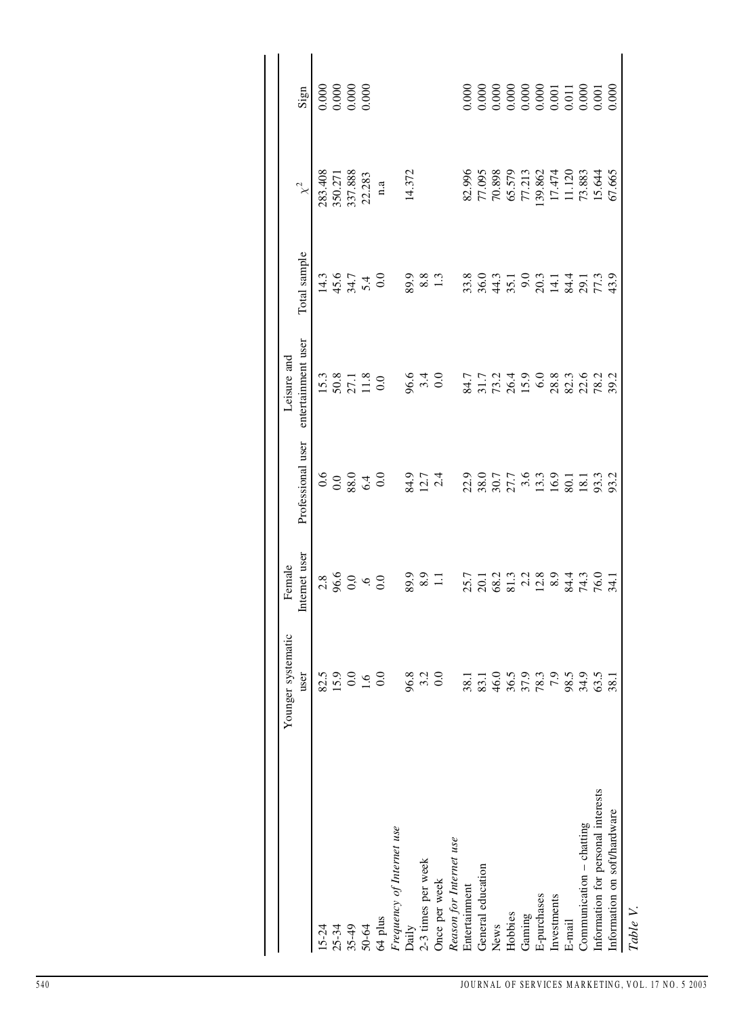|                                    | Younger systematic                         | Female                            |                      | Leisure and                                       |              |                                                                                                            |                               |
|------------------------------------|--------------------------------------------|-----------------------------------|----------------------|---------------------------------------------------|--------------|------------------------------------------------------------------------------------------------------------|-------------------------------|
|                                    | user                                       | Internet user                     | Professional user    | entertainment user                                | Total sample | $\chi^2$                                                                                                   | Sign                          |
| $15 - 24$                          | 82.5                                       |                                   |                      |                                                   |              |                                                                                                            | $0.000$<br>$0.000$<br>$0.000$ |
| $25 - 34$                          |                                            |                                   |                      |                                                   |              |                                                                                                            |                               |
| $35 - 49$                          | $\begin{array}{c} 15.9 \\ 0.0 \end{array}$ |                                   |                      |                                                   |              |                                                                                                            |                               |
| 50-64                              | $\overline{1.6}$                           |                                   |                      |                                                   |              |                                                                                                            |                               |
| $64$ plus                          | $\overline{0}$                             | $2.8$<br>$96.6$<br>$0.9$<br>$0.0$ |                      |                                                   |              | 283.408<br>350.271<br>337.888<br>22.283<br>n.a<br>n.a                                                      |                               |
| Frequency of Internet use          |                                            |                                   |                      |                                                   |              |                                                                                                            |                               |
| Daily                              | 96.8                                       |                                   |                      |                                                   |              |                                                                                                            |                               |
| 2-3 times per week                 | 3.2                                        |                                   |                      |                                                   |              |                                                                                                            |                               |
| Once per week                      | $\overline{0}$                             |                                   |                      | $15.8$<br>$50.8$ $1.8$ $0.0$<br>$0.6$ $0.4$ $0.0$ |              |                                                                                                            |                               |
| Reason for Internet use            |                                            |                                   |                      |                                                   |              |                                                                                                            |                               |
| Entertainment                      | 38.1                                       |                                   |                      |                                                   |              |                                                                                                            |                               |
| General education                  |                                            |                                   |                      |                                                   |              |                                                                                                            |                               |
| News                               |                                            |                                   |                      |                                                   |              |                                                                                                            |                               |
| Hobbies                            | 83.1<br>46.0<br>46.5<br>57.83<br>7.9       |                                   | $238077992777328332$ |                                                   |              | 82.996<br>77.098<br>70.898<br>70.857<br>65.572<br>50.883<br>11.120<br>11.120<br>15.644<br>15.644<br>15.644 |                               |
| Gaming                             |                                            |                                   |                      |                                                   |              |                                                                                                            |                               |
| E-purchases                        |                                            |                                   |                      |                                                   |              |                                                                                                            |                               |
| Investments                        |                                            |                                   |                      |                                                   |              |                                                                                                            |                               |
| E-mail                             | 98.5<br>34.9                               |                                   |                      |                                                   |              |                                                                                                            |                               |
| Communication - chatting           |                                            |                                   |                      |                                                   |              |                                                                                                            |                               |
| Information for personal interests | 63.5                                       |                                   |                      |                                                   |              |                                                                                                            |                               |
| Information on soft/hardware       | 38.                                        |                                   |                      |                                                   |              |                                                                                                            |                               |
| Table V.                           |                                            |                                   |                      |                                                   |              |                                                                                                            |                               |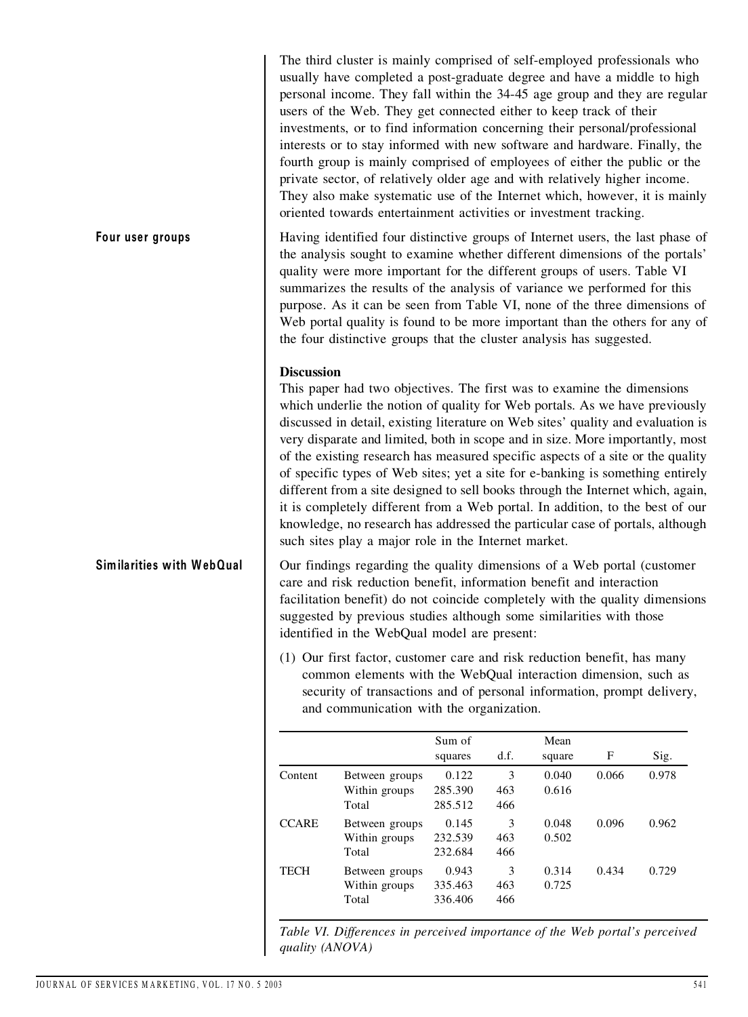The third cluster is mainly comprised of self-employed professionals who usually have completed a post-graduate degree and have a middle to high personal income. They fall within the 34-45 age group and they are regular users of the Web. They get connected either to keep track of their investments, or to find information concerning their personal/professional interests or to stay informed with new software and hardware. Finally, the fourth group is mainly comprised of employees of either the public or the private sector, of relatively older age and with relatively higher income. They also make systematic use of the Internet which, however, it is mainly oriented towards entertainment activities or investment tracking.

Having identified four distinctive groups of Internet users, the last phase of the analysis sought to examine whether different dimensions of the portals' quality were more important for the different groups of users. Table VI summarizes the results of the analysis of variance we performed for this purpose. As it can be seen from Table VI, none of the three dimensions of Web portal quality is found to be more important than the others for any of the four distinctive groups that the cluster analysis has suggested.

## **Discussion**

This paper had two objectives. The first was to examine the dimensions which underlie the notion of quality for Web portals. As we have previously discussed in detail, existing literature on Web sites' quality and evaluation is very disparate and limited, both in scope and in size. More importantly, most of the existing research has measured specific aspects of a site or the quality of specific types of Web sites; yet a site for e-banking is something entirely different from a site designed to sell books through the Internet which, again, it is completely different from a Web portal. In addition, to the best of our knowledge, no research has addressed the particular case of portals, although such sites play a major role in the Internet market.

Our findings regarding the quality dimensions of a Web portal (customer care and risk reduction benefit, information benefit and interaction facilitation benefit) do not coincide completely with the quality dimensions suggested by previous studies although some similarities with those identified in the WebQual model are present:

(1) Our first factor, customer care and risk reduction benefit, has many common elements with the WebQual interaction dimension, such as security of transactions and of personal information, prompt delivery, and communication with the organization.

|              |                | Sum of<br>squares | d.f. | Mean<br>square | F     | Sig.  |
|--------------|----------------|-------------------|------|----------------|-------|-------|
| Content      | Between groups | 0.122             | 3    | 0.040          | 0.066 | 0.978 |
|              | Within groups  | 285.390           | 463  | 0.616          |       |       |
|              | Total          | 285.512           | 466  |                |       |       |
| <b>CCARE</b> | Between groups | 0.145             | 3    | 0.048          | 0.096 | 0.962 |
|              | Within groups  | 232.539           | 463  | 0.502          |       |       |
|              | Total          | 232.684           | 466  |                |       |       |
| TECH         | Between groups | 0.943             | 3    | 0.314          | 0.434 | 0.729 |
|              | Within groups  | 335.463           | 463  | 0.725          |       |       |
|              | Total          | 336.406           | 466  |                |       |       |

*Table VI. Differences in perceived importance of the Web portal's perceived quality (ANOVA)*

**Four user groups**

**Sim ilarities with W ebQual**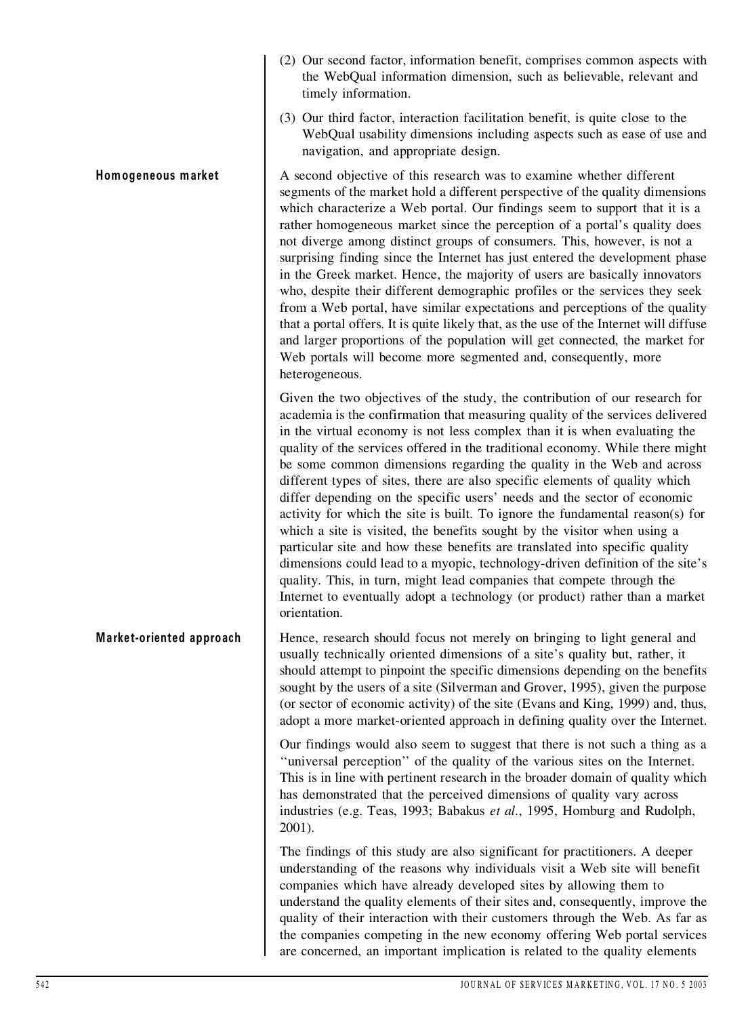|                          | (2) Our second factor, information benefit, comprises common aspects with<br>the WebQual information dimension, such as believable, relevant and<br>timely information.                                                                                                                                                                                                                                                                                                                                                                                                                                                                                                                                                                                                                                                                                                                                                                                                                                                                                             |
|--------------------------|---------------------------------------------------------------------------------------------------------------------------------------------------------------------------------------------------------------------------------------------------------------------------------------------------------------------------------------------------------------------------------------------------------------------------------------------------------------------------------------------------------------------------------------------------------------------------------------------------------------------------------------------------------------------------------------------------------------------------------------------------------------------------------------------------------------------------------------------------------------------------------------------------------------------------------------------------------------------------------------------------------------------------------------------------------------------|
|                          | (3) Our third factor, interaction facilitation benefit, is quite close to the<br>WebQual usability dimensions including aspects such as ease of use and<br>navigation, and appropriate design.                                                                                                                                                                                                                                                                                                                                                                                                                                                                                                                                                                                                                                                                                                                                                                                                                                                                      |
| Homogeneous market       | A second objective of this research was to examine whether different<br>segments of the market hold a different perspective of the quality dimensions<br>which characterize a Web portal. Our findings seem to support that it is a<br>rather homogeneous market since the perception of a portal's quality does<br>not diverge among distinct groups of consumers. This, however, is not a<br>surprising finding since the Internet has just entered the development phase<br>in the Greek market. Hence, the majority of users are basically innovators<br>who, despite their different demographic profiles or the services they seek<br>from a Web portal, have similar expectations and perceptions of the quality<br>that a portal offers. It is quite likely that, as the use of the Internet will diffuse<br>and larger proportions of the population will get connected, the market for<br>Web portals will become more segmented and, consequently, more<br>heterogeneous.                                                                                |
|                          | Given the two objectives of the study, the contribution of our research for<br>academia is the confirmation that measuring quality of the services delivered<br>in the virtual economy is not less complex than it is when evaluating the<br>quality of the services offered in the traditional economy. While there might<br>be some common dimensions regarding the quality in the Web and across<br>different types of sites, there are also specific elements of quality which<br>differ depending on the specific users' needs and the sector of economic<br>activity for which the site is built. To ignore the fundamental reason(s) for<br>which a site is visited, the benefits sought by the visitor when using a<br>particular site and how these benefits are translated into specific quality<br>dimensions could lead to a myopic, technology-driven definition of the site's<br>quality. This, in turn, might lead companies that compete through the<br>Internet to eventually adopt a technology (or product) rather than a market<br>orientation. |
| Market-oriented approach | Hence, research should focus not merely on bringing to light general and<br>usually technically oriented dimensions of a site's quality but, rather, it<br>should attempt to pinpoint the specific dimensions depending on the benefits<br>sought by the users of a site (Silverman and Grover, 1995), given the purpose<br>(or sector of economic activity) of the site (Evans and King, 1999) and, thus,<br>adopt a more market-oriented approach in defining quality over the Internet.                                                                                                                                                                                                                                                                                                                                                                                                                                                                                                                                                                          |
|                          | Our findings would also seem to suggest that there is not such a thing as a<br>"universal perception" of the quality of the various sites on the Internet.<br>This is in line with pertinent research in the broader domain of quality which<br>has demonstrated that the perceived dimensions of quality vary across<br>industries (e.g. Teas, 1993; Babakus et al., 1995, Homburg and Rudolph,<br>2001).                                                                                                                                                                                                                                                                                                                                                                                                                                                                                                                                                                                                                                                          |
|                          | The findings of this study are also significant for practitioners. A deeper<br>understanding of the reasons why individuals visit a Web site will benefit<br>companies which have already developed sites by allowing them to<br>understand the quality elements of their sites and, consequently, improve the<br>quality of their interaction with their customers through the Web. As far as<br>the companies competing in the new economy offering Web portal services                                                                                                                                                                                                                                                                                                                                                                                                                                                                                                                                                                                           |

are concerned, an important implication is related to the quality elements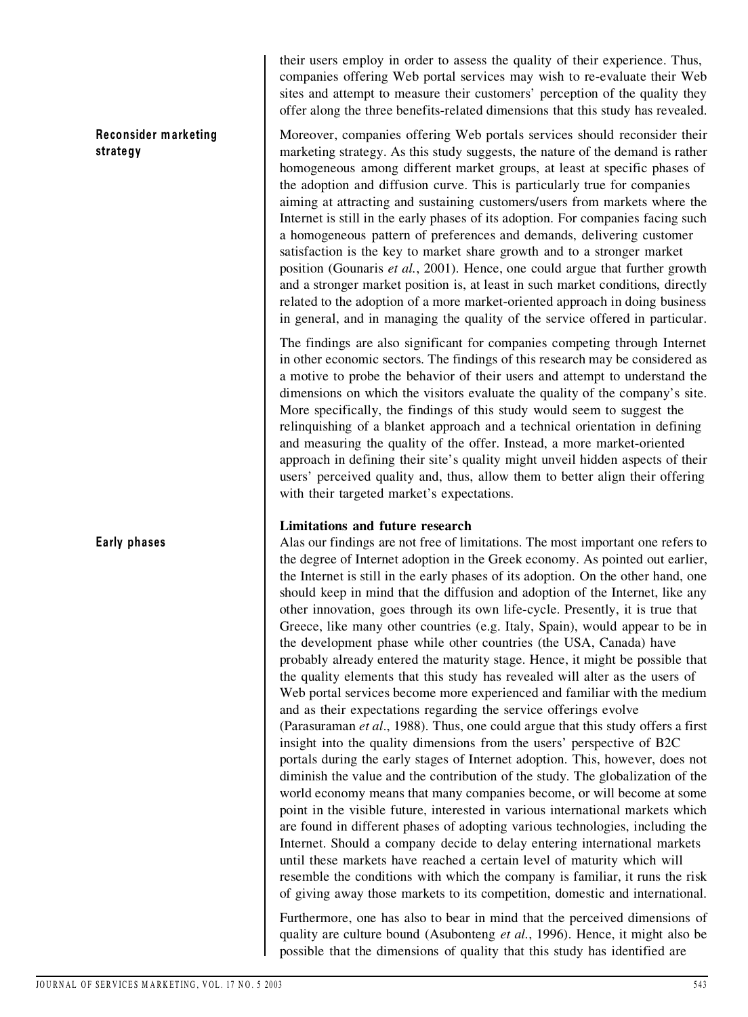## **Reconsider m arketing strategy**

**Early phases**

their users employ in order to assess the quality of their experience. Thus, companies offering Web portal services may wish to re-evaluate their Web sites and attempt to measure their customers' perception of the quality they offer along the three benefits-related dimensions that this study has revealed.

Moreover, companies offering Web portals services should reconsider their marketing strategy. As this study suggests, the nature of the demand is rather homogeneous among different market groups, at least at specific phases of the adoption and diffusion curve. This is particularly true for companies aiming at attracting and sustaining customers/users from markets where the Internet is still in the early phases of its adoption. For companies facing such a homogeneous pattern of preferences and demands, delivering customer satisfaction is the key to market share growth and to a stronger market position (Gounaris *et al.*, 2001). Hence, one could argue that further growth and a stronger market position is, at least in such market conditions, directly related to the adoption of a more market-oriented approach in doing business in general, and in managing the quality of the service offered in particular.

The findings are also significant for companies competing through Internet in other economic sectors. The findings of this research may be considered as a motive to probe the behavior of their users and attempt to understand the dimensions on which the visitors evaluate the quality of the company's site. More specifically, the findings of this study would seem to suggest the relinquishing of a blanket approach and a technical orientation in defining and measuring the quality of the offer. Instead, a more market-oriented approach in defining their site's quality might unveil hidden aspects of their users' perceived quality and, thus, allow them to better align their offering with their targeted market's expectations.

## **Limitations and future research**

Alas our findings are not free of limitations. The most important one refers to the degree of Internet adoption in the Greek economy. As pointed out earlier, the Internet is still in the early phases of its adoption. On the other hand, one should keep in mind that the diffusion and adoption of the Internet, like any other innovation, goes through its own life-cycle. Presently, it is true that Greece, like many other countries (e.g. Italy, Spain), would appear to be in the development phase while other countries (the USA, Canada) have probably already entered the maturity stage. Hence, it might be possible that the quality elements that this study has revealed will alter as the users of Web portal services become more experienced and familiar with the medium and as their expectations regarding the service offerings evolve (Parasuraman *et al*., 1988). Thus, one could argue that this study offers a first insight into the quality dimensions from the users' perspective of B2C portals during the early stages of Internet adoption. This, however, does not diminish the value and the contribution of the study. The globalization of the world economy means that many companies become, or will become at some point in the visible future, interested in various international markets which are found in different phases of adopting various technologies, including the Internet. Should a company decide to delay entering international markets until these markets have reached a certain level of maturity which will resemble the conditions with which the company is familiar, it runs the risk of giving away those markets to its competition, domestic and international.

Furthermore, one has also to bear in mind that the perceived dimensions of quality are culture bound (Asubonteng *et al.*, 1996). Hence, it might also be possible that the dimensions of quality that this study has identified are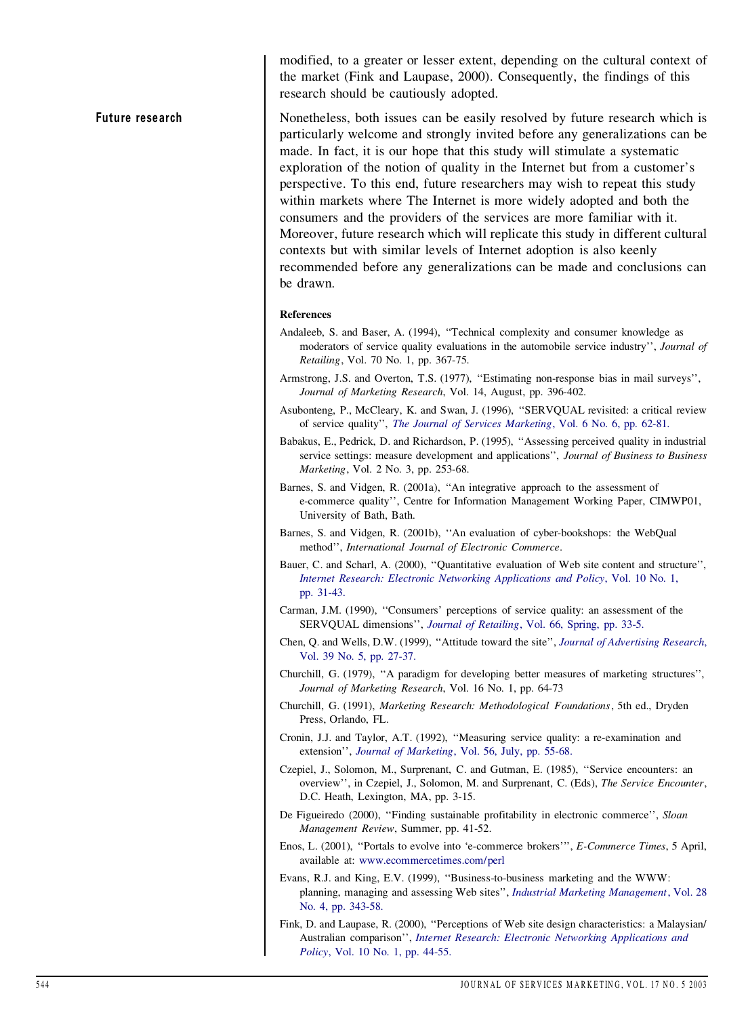modified, to a greater or lesser extent, depending on the cultural context of the market (Fink and Laupase, 2000). Consequently, the findings of this research should be cautiously adopted.

Nonetheless, both issues can be easily resolved by future research which is particularly welcome and strongly invited before any generalizations can be made. In fact, it is our hope that this study will stimulate a systematic exploration of the notion of quality in the Internet but from a customer's perspective. To this end, future researchers may wish to repeat this study within markets where The Internet is more widely adopted and both the consumers and the providers of the services are more familiar with it. Moreover, future research which will replicate this study in different cultural contexts but with similar levels of Internet adoption is also keenly recommended before any generalizations can be made and conclusions can be drawn.

#### **References**

**Future research**

- Andaleeb, S. and Baser, A. (1994), "Technical complexity and consumer knowledge as moderators of service quality evaluations in the automobile service industry'', *Journal of Retailing*, Vol. 70 No. 1, pp. 367-75.
- Armstrong, J.S. and Overton, T.S. (1977), "Estimating non-response bias in mail surveys", *Journal of Marketing Research*, Vol. 14, August, pp. 396-402.
- Asubonteng, P., McCleary, K. and Swan, J. (1996), "SERVQUAL revisited: a critical review of service quality'', *The Journal of Services [Marketing](http://taddeo.emeraldinsight.com/nw=1/rpsv/cgi-bin/linker?ext=a&reqidx=/0887-6045^28^296:6L.62[aid=1290986])*, Vol. 6 No. 6, pp. 62-81.
- Babakus, E., Pedrick, D. and Richardson, P. (1995), "Assessing perceived quality in industrial service settings: measure development and applications'', *Journal of Business to Business Marketing*, Vol. 2 No. 3, pp. 253-68.
- Barnes, S. and Vidgen, R. (2001a), "An integrative approach to the assessment of e-commerce quality'', Centre for Information Management Working Paper, CIMWP01, University of Bath, Bath.
- Barnes, S. and Vidgen, R. (2001b), "An evaluation of cyber-bookshops: the WebQual method'', *International Journal of Electronic Commerce*.
- Bauer, C. and Scharl, A. (2000), "Quantitative evaluation of Web site content and structure", *Internet Research: Electronic Networking [Applications](http://taddeo.emeraldinsight.com/nw=1/rpsv/cgi-bin/linker?ext=a&reqidx=/1066-2243^28^2910:1L.31[aid=1153154]) and Policy*, Vol. 10 No. 1, pp. [31-43.](http://taddeo.emeraldinsight.com/nw=1/rpsv/cgi-bin/linker?ext=a&reqidx=/1066-2243^28^2910:1L.31[aid=1153154])
- Carman, J.M. (1990), "Consumers' perceptions of service quality: an assessment of the SERVQUAL dimensions'', *Journal of [Retailing](http://taddeo.emeraldinsight.com/nw=1/rpsv/cgi-bin/linker?ext=a&reqidx=/0022-4359^28^2966L.33[aid=350657])*, Vol. 66, Spring, pp. 33-5.
- Chen, Q. and Wells, D.W. (1999), ``Attitude toward the site'', *Journal of [Advertising](http://taddeo.emeraldinsight.com/nw=1/rpsv/cgi-bin/linker?ext=a&reqidx=/0021-8499^28^2939:5L.27[aid=2860398]) Research*, Vol. 39 No. 5, pp. [27-37.](http://taddeo.emeraldinsight.com/nw=1/rpsv/cgi-bin/linker?ext=a&reqidx=/0021-8499^28^2939:5L.27[aid=2860398])
- Churchill, G. (1979), "A paradigm for developing better measures of marketing structures", *Journal of Marketing Research*, Vol. 16 No. 1, pp. 64-73
- Churchill, G. (1991), *Marketing Research: Methodological Foundations*, 5th ed., Dryden Press, Orlando, FL.
- Cronin, J.J. and Taylor, A.T. (1992), "Measuring service quality: a re-examination and extension'', *Journal of [Marketing](http://taddeo.emeraldinsight.com/nw=1/rpsv/cgi-bin/linker?ext=a&reqidx=/0022-2429^28^2956L.55[aid=337493])*, Vol. 56, July, pp. 55-68.
- Czepiel, J., Solomon, M., Surprenant, C. and Gutman, E. (1985), "Service encounters: an overview'', in Czepiel, J., Solomon, M. and Surprenant, C. (Eds), *The Service Encounter*, D.C. Heath, Lexington, MA, pp. 3-15.
- De Figueiredo (2000), "Finding sustainable profitability in electronic commerce", *Sloan Management Review*, Summer, pp. 41-52.
- Enos, L. (2001), ``Portals to evolve into `e-commerce brokers''', *E-Commerce Times*, 5 April, available at: [www.ecommercetimes.com/perl](http://www.ecommercetimes.com/perl)
- Evans, R.J. and King, E.V. (1999), "Business-to-business marketing and the WWW: planning, managing and assessing Web sites'', *Industrial Marketing [Management](http://taddeo.emeraldinsight.com/nw=1/rpsv/cgi-bin/linker?ext=a&reqidx=/0019-8501^28^2928:4L.343[aid=5161759])*, Vol. 28 No. 4, pp. [343-58.](http://taddeo.emeraldinsight.com/nw=1/rpsv/cgi-bin/linker?ext=a&reqidx=/0019-8501^28^2928:4L.343[aid=5161759])
- Fink, D. and Laupase, R. (2000), "Perceptions of Web site design characteristics: a Malaysian/ Australian comparison'', *Internet Research: Electronic Networking [Applications](http://taddeo.emeraldinsight.com/nw=1/rpsv/cgi-bin/linker?ext=a&reqidx=/1066-2243^28^2910:1L.44[aid=3406736]) and Policy*, Vol. 10 No. 1, pp. [44-55.](http://taddeo.emeraldinsight.com/nw=1/rpsv/cgi-bin/linker?ext=a&reqidx=/1066-2243^28^2910:1L.44[aid=3406736])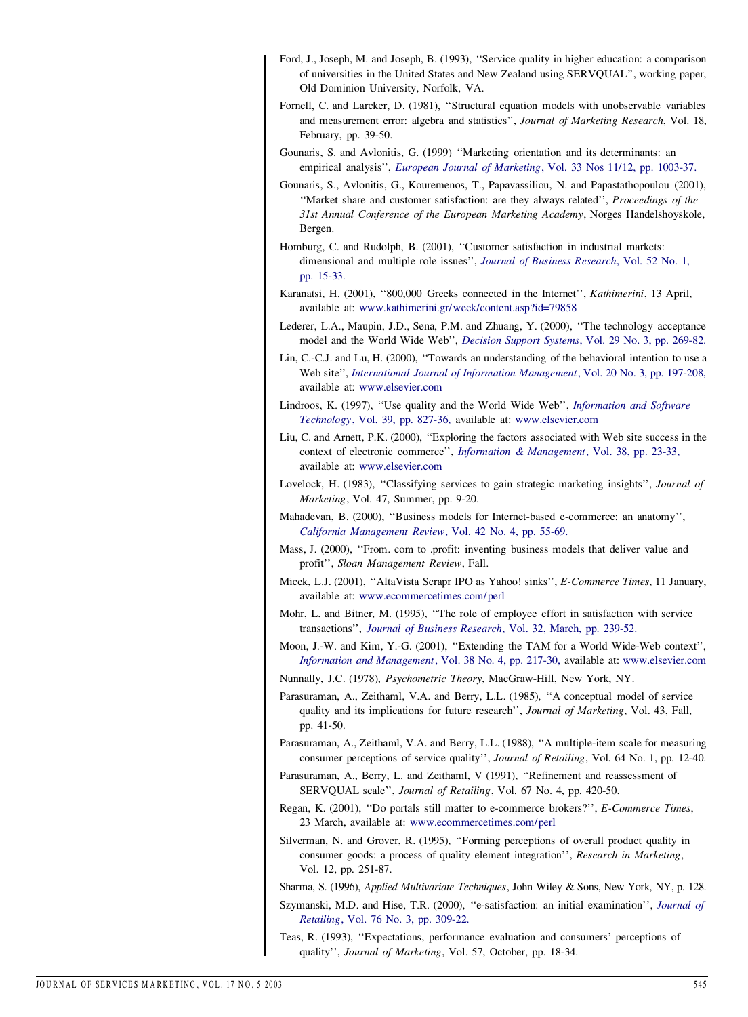- Ford, J., Joseph, M. and Joseph, B. (1993), "Service quality in higher education: a comparison of universities in the United States and New Zealand using SERVQUAL'', working paper, Old Dominion University, Norfolk, VA.
- Fornell, C. and Larcker, D. (1981), "Structural equation models with unobservable variables and measurement error: algebra and statistics'', *Journal of Marketing Research*, Vol. 18, February, pp. 39-50.
- Gounaris, S. and Avlonitis, G. (1999) "Marketing orientation and its determinants: an empirical analysis'', *European Journal of [Marketing](http://taddeo.emeraldinsight.com/nw=1/rpsv/cgi-bin/linker?ext=a&reqidx=/0309-0566^28^2933:11L.1003[aid=1533309])*, Vol. 33 Nos 11/12, pp. 1003-37.
- Gounaris, S., Avlonitis, G., Kouremenos, T., Papavassiliou, N. and Papastathopoulou (2001), ``Market share and customer satisfaction: are they always related'', *Proceedings of the 31st Annual Conference of the European Marketing Academy*, Norges Handelshoyskole, Bergen.
- Homburg, C. and Rudolph, B. (2001), "Customer satisfaction in industrial markets: dimensional and multiple role issues'', *Journal of Business [Research](http://taddeo.emeraldinsight.com/nw=1/rpsv/cgi-bin/linker?ext=a&reqidx=/0148-2963^28^2952:1L.15[aid=5161760])*, Vol. 52 No. 1, pp. [15-33.](http://taddeo.emeraldinsight.com/nw=1/rpsv/cgi-bin/linker?ext=a&reqidx=/0148-2963^28^2952:1L.15[aid=5161760])
- Karanatsi, H. (2001), "800,000 Greeks connected in the Internet", *Kathimerini*, 13 April, available at: [www.kathimerini.gr/week/content.asp?id=79858](http://www.kathimerini.gr/week/content.asp?id=79858)
- Lederer, L.A., Maupin, J.D., Sena, P.M. and Zhuang, Y. (2000), "The technology acceptance model and the World Wide Web'', *[Decision](http://taddeo.emeraldinsight.com/nw=1/rpsv/cgi-bin/linker?ext=a&reqidx=/0167-9236^28^2929:3L.269[aid=5161761]) Support Systems*, Vol. 29 No. 3, pp. 269-82.
- Lin, C.-C.J. and Lu, H. (2000), "Towards an understanding of the behavioral intention to use a Web site'', *International Journal of Information [Management](http://taddeo.emeraldinsight.com/nw=1/rpsv/cgi-bin/linker?ext=a&reqidx=/0268-4012^28^2920:3L.197[aid=1961120])*, Vol. 20 No. 3, pp. 197-208, available at: [www.elsevier.com](http://www.elsevier.com)
- Lindroos, K. (1997), ``Use quality and the World Wide Web'', *[Information](http://taddeo.emeraldinsight.com/nw=1/rpsv/cgi-bin/linker?ext=a&reqidx=/0950-5849^28^2939L.827[aid=4861060]) and Software [Technology](http://taddeo.emeraldinsight.com/nw=1/rpsv/cgi-bin/linker?ext=a&reqidx=/0950-5849^28^2939L.827[aid=4861060])*, Vol. 39, pp. 827-36, available at: [www.elsevier.com](http://www.elsevier.com)
- Liu, C. and Arnett, P.K. (2000), "Exploring the factors associated with Web site success in the context of electronic commerce'', *Information & [Management](http://taddeo.emeraldinsight.com/nw=1/rpsv/cgi-bin/linker?ext=a&reqidx=/0378-7206^28^2938L.23[aid=1962300])*, Vol. 38, pp. 23-33, available at: [www.elsevier.com](http://www.elsevier.com)
- Lovelock, H. (1983), "Classifying services to gain strategic marketing insights", *Journal of Marketing*, Vol. 47, Summer, pp. 9-20.
- Mahadevan, B. (2000), "Business models for Internet-based e-commerce: an anatomy", *California [Management](http://taddeo.emeraldinsight.com/nw=1/rpsv/cgi-bin/linker?ext=a&reqidx=/0008-1256^28^2942:4L.55[aid=1267706]) Review*, Vol. 42 No. 4, pp. 55-69.
- Mass, J. (2000), "From. com to .profit: inventing business models that deliver value and profit'', *Sloan Management Review*, Fall.
- Micek, L.J. (2001), "AltaVista Scrapr IPO as Yahoo! sinks", *E-Commerce Times*, 11 January, available at: [www.ecommercetimes.com/perl](http://www.ecommercetimes.com/perl)
- Mohr, L. and Bitner, M. (1995), "The role of employee effort in satisfaction with service transactions'', *Journal of Business [Research](http://taddeo.emeraldinsight.com/nw=1/rpsv/cgi-bin/linker?ext=a&reqidx=/0148-2963^28^2932L.239[aid=4983849])*, Vol. 32, March, pp. 239-52.
- Moon, J.-W. and Kim, Y.-G.  $(2001)$ , "Extending the TAM for a World Wide-Web context", *Information and [Management](http://taddeo.emeraldinsight.com/nw=1/rpsv/cgi-bin/linker?ext=a&reqidx=/0378-7206^28^2938:4L.217[aid=5161762])*, Vol. 38 No. 4, pp. 217-30, available at: [www.elsevier.com](http://www.elsevier.com)
- Nunnally, J.C. (1978), *Psychometric Theory*, MacGraw-Hill, New York, NY.
- Parasuraman, A., Zeithaml, V.A. and Berry, L.L. (1985), "A conceptual model of service quality and its implications for future research'', *Journal of Marketing*, Vol. 43, Fall, pp. 41-50.
- Parasuraman, A., Zeithaml, V.A. and Berry, L.L. (1988), "A multiple-item scale for measuring consumer perceptions of service quality'', *Journal of Retailing*, Vol. 64 No. 1, pp. 12-40.
- Parasuraman, A., Berry, L. and Zeithaml, V (1991), "Refinement and reassessment of SERVQUAL scale'', *Journal of Retailing*, Vol. 67 No. 4, pp. 420-50.
- Regan, K. (2001), ``Do portals still matter to e-commerce brokers?'', *E-Commerce Times*, 23 March, available at: [www.ecommercetimes.com/perl](http://www.ecommercetimes.com/perl)
- Silverman, N. and Grover, R. (1995), "Forming perceptions of overall product quality in consumer goods: a process of quality element integration'', *Research in Marketing*, Vol. 12, pp. 251-87.
- Sharma, S. (1996), *Applied Multivariate Techniques*, John Wiley & Sons, New York, NY, p. 128.
- Szymanski, M.D. and Hise, T.R. (2000), "e-satisfaction: an initial examination", *[Journal](http://taddeo.emeraldinsight.com/nw=1/rpsv/cgi-bin/linker?ext=a&reqidx=/0022-4359^28^2976:3L.309[aid=1434676]) of [Retailing](http://taddeo.emeraldinsight.com/nw=1/rpsv/cgi-bin/linker?ext=a&reqidx=/0022-4359^28^2976:3L.309[aid=1434676])*, Vol. 76 No. 3, pp. 309-22.
- Teas, R. (1993), "Expectations, performance evaluation and consumers' perceptions of quality'', *Journal of Marketing*, Vol. 57, October, pp. 18-34.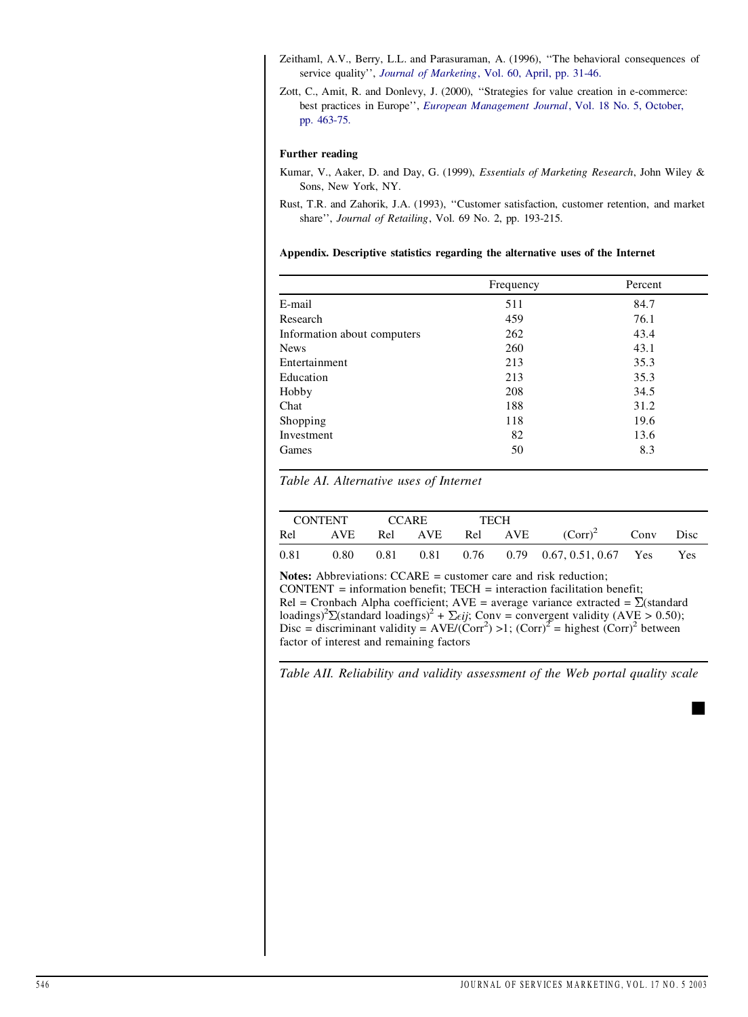- Zeithaml, A.V., Berry, L.L. and Parasuraman, A. (1996), "The behavioral consequences of service quality'', *Journal of [Marketing](http://taddeo.emeraldinsight.com/nw=1/rpsv/cgi-bin/linker?ext=a&reqidx=/0022-2429^28^2960L.31[aid=337522])*, Vol. 60, April, pp. 31-46.
- Zott, C., Amit, R. and Donlevy, J. (2000), "Strategies for value creation in e-commerce: best practices in Europe'', *European [Management](http://taddeo.emeraldinsight.com/nw=1/rpsv/cgi-bin/linker?ext=a&reqidx=/0263-2373^28^2918:5L.463[aid=1961118]) Journal*, Vol. 18 No. 5, October, pp. [463-75.](http://taddeo.emeraldinsight.com/nw=1/rpsv/cgi-bin/linker?ext=a&reqidx=/0263-2373^28^2918:5L.463[aid=1961118])

#### **Further reading**

- Kumar, V., Aaker, D. and Day, G. (1999), *Essentials of Marketing Research*, John Wiley & Sons, New York, NY.
- Rust, T.R. and Zahorik, J.A. (1993), "Customer satisfaction, customer retention, and market share'', *Journal of Retailing*, Vol. 69 No. 2, pp. 193-215.

|                             | Frequency | Percent |
|-----------------------------|-----------|---------|
| E-mail                      | 511       | 84.7    |
| Research                    | 459       | 76.1    |
| Information about computers | 262       | 43.4    |
| <b>News</b>                 | 260       | 43.1    |
| Entertainment               | 213       | 35.3    |
| Education                   | 213       | 35.3    |
| Hobby                       | 208       | 34.5    |
| Chat                        | 188       | 31.2    |
| Shopping                    | 118       | 19.6    |
| Investment                  | 82        | 13.6    |
| Games                       | 50        | 8.3     |

#### **Appendix. Descriptive statistics regarding the alternative uses of the Internet**

#### *Table AI. Alternative uses of Internet*

|      | CONTENT |      | <b>CCARE</b> | <b>TECH</b> |                                             |           |     |
|------|---------|------|--------------|-------------|---------------------------------------------|-----------|-----|
| Rel  | AVE     |      | Rel AVE      | Rel AVE     | $(Corr)^2$                                  | Conv Disc |     |
| 0.81 | 0.80    | 0.81 |              |             | $0.81$ $0.76$ $0.79$ $0.67, 0.51, 0.67$ Yes |           | Yes |

**Notes:** Abbreviations: CCARE = customer care and risk reduction; CONTENT = information benefit; TECH = interaction facilitation benefit; Rel = Cronbach Alpha coefficient; AVE = average variance extracted =  $\Sigma$ (standard loadings)<sup>2</sup> $\sum$ (standard loadings)<sup>2</sup> +  $\sum$ *eij*; Conv = convergent validity (AVE > 0.50); Disc = discriminant validity =  $AVE/(Corr^2)$  >1;  $(Corr)^2$  = highest  $(Corr)^2$  between factor of interest and remaining factors

*Table AII. Reliability and validity assessment of the Web portal quality scale*

**Burning**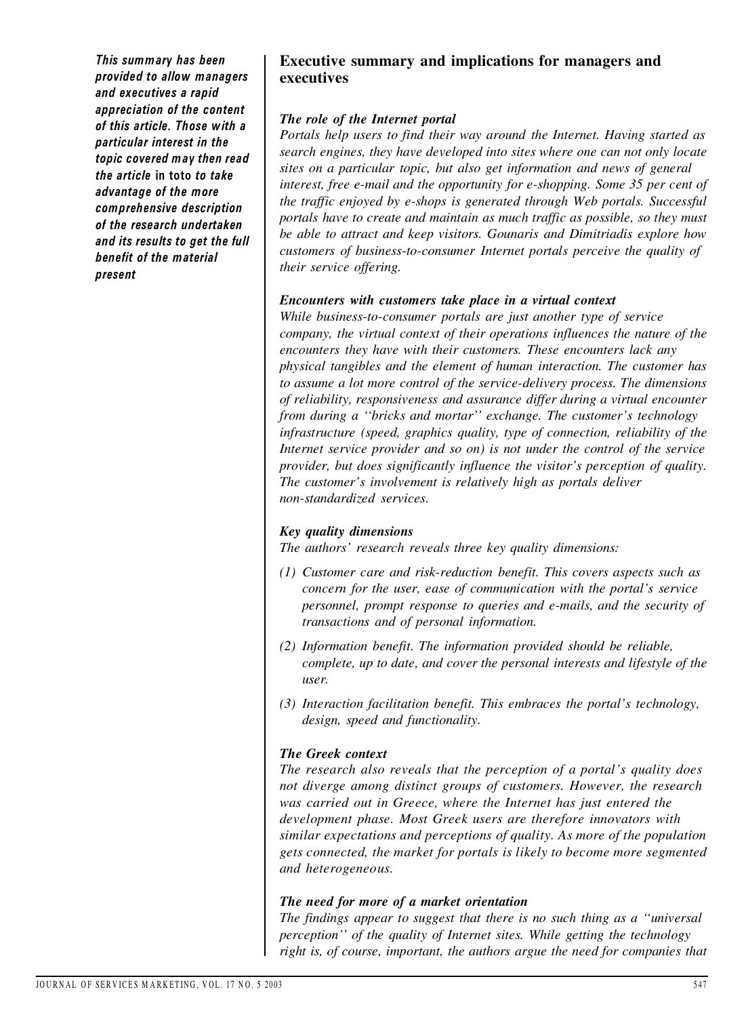*This summary has been provided to allow managers and executives a rapid appreciation of the content of this article. Those with a particular interest in the topic covered may then read the article* **in toto** *to take advantage of the more comprehensive description of the research undertaken and its results to get the full benefit of the material present*

# **Executive summary and implications for managers and executives**

## *The role of the Internet portal*

*Portals help users to find their way around the Internet. Having started as search engines, they have developed into sites where one can not only locate sites on a particular topic, but also get information and news of general interest, free e-mail and the opportunity for e-shopping. Some 35 per cent of the traffic enjoyed by e-shops is generated through Web portals. Successful portals have to create and maintain as much traffic as possible, so they must be able to attract and keep visitors. Gounaris and Dimitriadis explore how customers of business-to-consumer Internet portals perceive the quality of their service offering.*

#### *Encounters with customers take place in a virtual context*

*While business-to-consumer portals are just another type of service company, the virtual context of their operations influences the nature of the encounters they have with their customers. These encounters lack any physical tangibles and the element of human interaction. The customer has to assume a lot more control of the service-delivery process. The dimensions of reliability, responsiveness and assurance differ during a virtual encounter from during a ``bricks and mortar'' exchange. The customer's technology infrastructure (speed, graphics quality, type of connection, reliability of the Internet service provider and so on) is not under the control of the service provider, but does significantly influence the visitor's perception of quality. The customer's involvement is relatively high as portals deliver non-standardized services.*

## *Key quality dimensions*

*The authors' research reveals three key quality dimensions:*

- *(1) Customer care and risk-reduction benefit. This covers aspects such as concern for the user, ease of communication with the portal's service personnel, prompt response to queries and e-mails, and the security of transactions and of personal information.*
- *(2) Information benefit. The information provided should be reliable, complete, up to date, and cover the personal interests and lifestyle of the user.*
- *(3) Interaction facilitation benefit. This embraces the portal's technology, design, speed and functionality.*

## *The Greek context*

*The research also reveals that the perception of a portal's quality does not diverge among distinct groups of customers. However, the research was carried out in Greece, where the Internet has just entered the development phase. Most Greek users are therefore innovators with similar expectations and perceptions of quality. As more of the population gets connected, the market for portals is likely to become more segmented and heterogeneous.*

## *The need for more of a market orientation*

*The findings appear to suggest that there is no such thing as a ``universal perception'' of the quality of Internet sites. While getting the technology right is, of course, important, the authors argue the need for companies that*